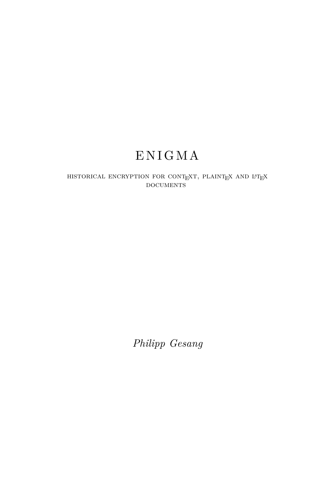## E N I G M A

HISTORICAL ENCRYPTION FOR CONTEXT, PLAINTEX AND L'TEX DOCUMENTS

*Philipp Gesang*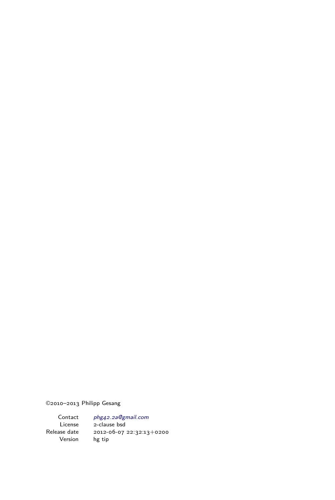©2010–2013 Philipp Gesang

Contact [phg42.2a@gmail.com](mailto:ichdparameter {email}) License 2-clause bsd Release date 2012-06-07 22:32:13+0200 Version hg tip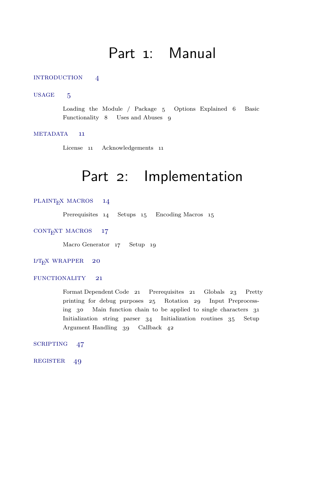## Part 1: Manual

#### <span id="page-2-0"></span>INTRODUCTION 4

#### USAGE 5

Loading the Module / Package 5 Options Explained 6 Basic Functionality 8 Uses and Abuses 9

#### METADATA 11

License 11 Acknowledgements 11

### Part 2: Implementation

#### PLAINT<sub>E</sub>X MACROS 14

Prerequisites 14 Setups 15 Encoding Macros 15

#### CONT<sub>E</sub>XT MACROS 17

Macro Generator 17 Setup 19

#### $IAT$ <sub>E</sub>X WRAPPER 20

#### FUNCTIONALITY 21

Format Dependent Code 21 Prerequisites 21 Globals 23 Pretty printing for debug purposes 25 Rotation 29 Input Preprocessing 30 Main function chain to be applied to single characters 31 Initialization string parser 34 Initialization routines 35 Setup Argument Handling 39 Callback 42

[scripting 47](#page-48-0)

REGISTER 49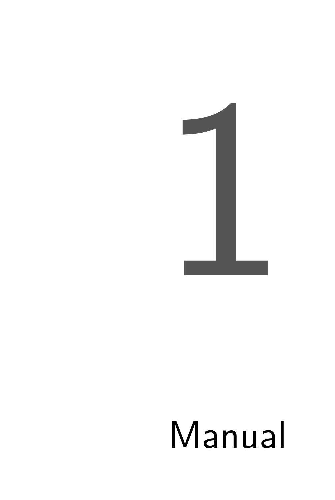

# Manual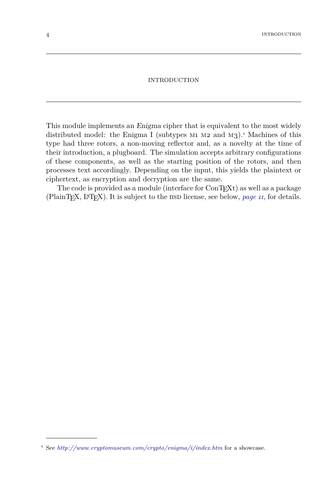#### INTRODUCTION

<span id="page-5-1"></span><span id="page-5-0"></span>This module implements an Enigma cipher that is equivalent to the most widely distributed model: the Enigma I (subtypes  $M_1$   $M_2$  and  $M_3$ ).<sup>1</sup> Machines of this type had three rotors, a non-moving reflector and, as a novelty at the time of their introduction, a plugboard. The simulation accepts arbitrary configurations of these components, as well as the starting position of the rotors, and then processes text accordingly. Depending on the input, this yields the plaintext or ciphertext, as encryption and decryption are the same.

The code is provided as a module (interface for  $ConTrXt$ ) as well as a package (PlainT<sub>E</sub>X, L<sup>A</sup>T<sub>E</sub>X). It is subject to the BSD license, see below, *[page 11](#page-12-1)*, for details.

<sup>1</sup> See *<http://www.cryptomuseum.com/crypto/enigma/i/index.htm>* for a showcase.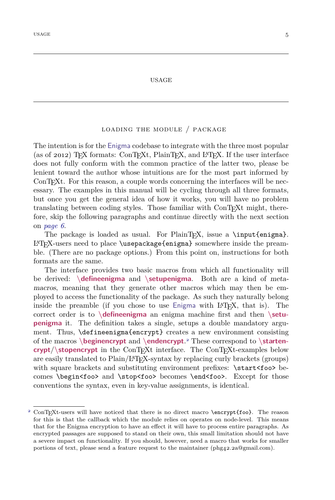#### USAGE

#### loading the module / package

<span id="page-6-1"></span><span id="page-6-0"></span>The intention is for the Enigma codebase to integrate with the three most popular (as of 2012) T<sub>E</sub>X formats: ConTEXt, PlainTEX, and L<sup>A</sup>TEX. If the user interface does not fully conform with the common practice of the latter two, please be lenient toward the author whose intuitions are for the most part informed by ConT<sub>EX</sub>t. For this reason, a couple words concerning the interfaces will be necessary. The examples in this manual will be cycling through all three formats, but once you get the general idea of how it works, you will have no problem translating between coding styles. Those familiar with ConTEXt might, therefore, skip the following paragraphs and continue directly with the next section on *[page 6](#page-7-0)*.

The package is loaded as usual. For PlainT<sub>E</sub>X, issue a \input{enigma}. LATEX-users need to place \usepackage{enigma} somewhere inside the preamble. (There are no package options.) From this point on, instructions for both formats are the same.

The interface provides two basic macros from which all functionality will be derived: **\defineenigma** and **\setupenigma**. Both are a kind of metamacros, meaning that they generate other macros which may then be employed to access the functionality of the package. As such they naturally belong inside the preamble (if you chose to use  $E_{\text{m}}$  is the LAT<sub>E</sub>X, that is). The correct order is to **\defineenigma** an enigma machine first and then **\setupenigma** it. The definition takes a single, setups a double mandatory argument. Thus, \defineenigma{encrypt} creates a new environment consisting of the macros **\beginencrypt** and **\endencrypt**. <sup>2</sup> These correspond to **\startencrypt**/**\stopencrypt** in the ConTEXt interface. The ConTEXt-examples below are easily translated to Plain/LATEX-syntax by replacing curly brackets (groups) with square brackets and substituting environment prefixes:  $\text{start}\text{-}$ foo> becomes \begin<foo> and \stop<foo> becomes \end<foo>. Except for those conventions the syntax, even in key-value assignments, is identical.

ConTEXt-users will have noticed that there is no direct macro \encrypt{foo}. The reason for this is that the callback which the module relies on operates on node-level. This means that for the Enigma encryption to have an effect it will have to process entire paragraphs. As encrypted passages are supposed to stand on their own, this small limitation should not have a severe impact on functionality. If you should, however, need a macro that works for smaller portions of text, please send a feature request to the maintainer (phg42.2a@gmail.com).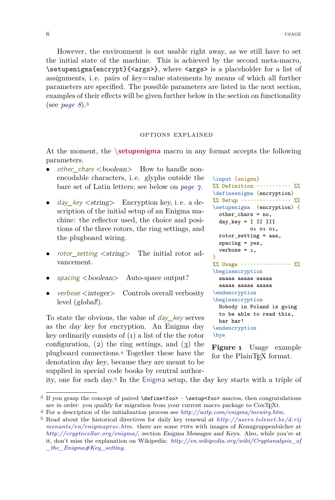<span id="page-7-1"></span>However, the environment is not usable right away, as we still have to set the initial state of the machine. This is achieved by the second meta-macro, \setupenigma{encrypt}{<args>}, where <args> is a placeholder for a list of assignments, i. e. pairs of key=value statements by means of which all further parameters are specified. The possible parameters are listed in the next section, examples of their effects will be given further below in the section on functionality (see *[page 8](#page-9-0)*).<sup>3</sup>

#### options explained

<span id="page-7-0"></span>At the moment, the **\setupenigma** macro in any format accepts the following parameters.

- other chars <br/>boolean> How to handle nonencodable characters, i. e. glyphs outside the bare set of Latin letters; see below on *[page 7](#page-8-0)*.
- day\_key  $\lt$ string> Encryption key, i.e. a description of the initial setup of an Enigma machine: the reflector used, the choice and positions of the three rotors, the ring settings, and the plugboard wiring.
- *rotor\_setting <string>* The initial rotor advancement.
- $spacing < boolean >$  Auto-space output?
- verbose <integer> Controls overall verbosity level (global!).

To state the obvious, the value of  $day$  key serves as the day key for encryption. An Enigma day key ordinarily consists of (1) a list of the the rotor configuration,  $(2)$  the ring settings, and  $(3)$  the plugboard connections.<sup>4</sup> Together these have the denotation day key, because they are meant to be supplied in special code books by central author-

```
\input {enigma}
\frac{1}{2}\% Definition \cdots \cdots \cdots \quad \frac{1}{2}\%\defineenigma {encryption}
\frac{1}{2}\% Setup \cdots \cdots \cdots \cdots \cdots\setupenigma {encryption} {
  other chars = no,
  day_key = I II III
             01 01 01,
  rotor_setting = aaa,
  spacing = yes,
  verbose = 1,
}
%% Usage ················ %%
\beginencryption
  aaaaa aaaaa aaaaa
  aaaaa aaaaa aaaaa
\endencryption
\beginencryption
  Nobody in Poland is going
  to be able to read this,
  har har!
\endencryption
\bye
```
**Figure 1** Usage example for the PlainT<sub>F</sub>X format.

ity, one for each day.<sup>5</sup> In the Enigma setup, the day key starts with a triple of

<sup>3</sup> If you grasp the concept of paired \define<foo> – \setup<foo> macros, then congratulations are in order: you qualify for migration from your current macro package to ConTEXt.

<sup>4</sup> For a description of the initialization process see *<http://w1tp.com/enigma/mewirg.htm>*.

<sup>5</sup> Read about the historical directives for daily key renewal at *[http://users.telenet.be/d.rij](http://users.telenet.be/d.rijmenants/en/enigmaproc.htm) [menants/en/enigmaproc.htm](http://users.telenet.be/d.rijmenants/en/enigmaproc.htm).* there are some PDFs with images of Kenngruppenbücher at *<http://cryptocellar.org/enigma/>*, section Enigma Messages and Keys. Also, while you're at it, don't miss the explanation on Wikipedia: *[http://en.wikipedia.org/wiki/Cryptanalysis\\_of](http://en.wikipedia.org/wiki/Cryptanalysis_of_the_Enigma#Key_setting) [\\_the\\_Enigma#Key\\_setting](http://en.wikipedia.org/wiki/Cryptanalysis_of_the_Enigma#Key_setting)*.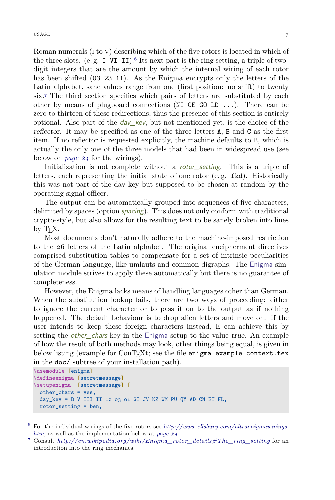<span id="page-8-1"></span>Roman numerals (i to v) describing which of the five rotors is located in which of the three slots. (e.g.  $I$  VI II).<sup>6</sup> Its next part is the ring setting, a triple of twodigit integers that are the amount by which the internal wiring of each rotor has been shifted (03 23 11). As the Enigma encrypts only the letters of the Latin alphabet, sane values range from one (first position: no shift) to twenty six.<sup>7</sup> The third section specifies which pairs of letters are substituted by each other by means of plugboard connections (NI CE GO LD  $\dots$ ). There can be zero to thirteen of these redirections, thus the presence of this section is entirely optional. Also part of the *day* key, but not mentioned yet, is the choice of the reflector. It may be specified as one of the three letters A, B and C as the first item. If no reflector is requested explicitly, the machine defaults to B, which is actually the only one of the three models that had been in widespread use (see below on *[page 24](#page-25-0)* for the wirings).

Initialization is not complete without a rotor\_setting. This is a triple of letters, each representing the initial state of one rotor (e. g. fkd). Historically this was not part of the day key but supposed to be chosen at random by the operating signal officer.

The output can be automatically grouped into sequences of five characters, delimited by spaces (option spacing). This does not only conform with traditional crypto-style, but also allows for the resulting text to be sanely broken into lines by T<sub>E</sub>X.

Most documents don't naturally adhere to the machine-imposed restriction to the 26 letters of the Latin alphabet. The original encipherment directives comprised substitution tables to compensate for a set of intrinsic peculiarities of the German language, like umlauts and common digraphs. The Enigma simulation module strives to apply these automatically but there is no guarantee of completeness.

<span id="page-8-0"></span>However, the Enigma lacks means of handling languages other than German. When the substitution lookup fails, there are two ways of proceeding: either to ignore the current character or to pass it on to the output as if nothing happened. The default behaviour is to drop alien letters and move on. If the user intends to keep these foreign characters instead, E can achieve this by setting the *other\_chars* key in the Enigma setup to the value true. An example of how the result of both methods may look, other things being equal, is given in below listing (example for ConT<sub>E</sub>Xt; see the file enigma-example-context.tex in the doc/ subtree of your installation path).

```
\usemodule [enigma]
\defineenigma [secretmessage]
\setupenigma [secretmessage] [
 other_chars = yes,
 day key = B V III II 12 03 01 GI JV KZ WM PU QY AD CN ET FL,
 rotor_setting = ben,
```
<sup>6</sup> For the individual wirings of the five rotors see *[http://www.ellsbury.com/ultraenigmawirings.](http://www.ellsbury.com/ultraenigmawirings.htm) [htm](http://www.ellsbury.com/ultraenigmawirings.htm)*, as well as the implementation below at *[page 24](#page-25-1)*.

<sup>7</sup> Consult *[http://en.wikipedia.org/wiki/Enigma\\_rotor\\_details#The\\_ring\\_setting](http://en.wikipedia.org/wiki/Enigma_rotor_details#The_ring_setting)* for an introduction into the ring mechanics.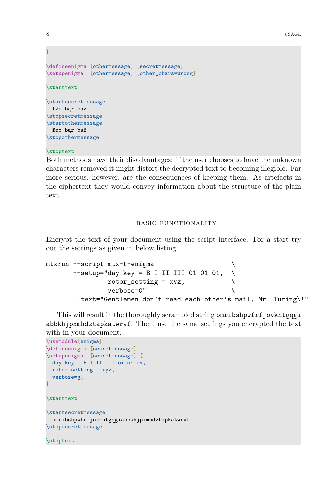```
\overline{1}\defineenigma [othermessage] [secretmessage]
\setupenigma [othermessage] [other_chars=wrong]
\starttext
\startsecretmessage
 føo bąr baž
\stopsecretmessage
\startothermessage
 føo bąr baž
\stopothermessage
```
#### \stoptext

Both methods have their disadvantages: if the user chooses to have the unknown characters removed it might distort the decrypted text to becoming illegible. Far more serious, however, are the consequences of keeping them. As artefacts in the ciphertext they would convey information about the structure of the plain text.

#### basic functionality

<span id="page-9-0"></span>Encrypt the text of your document using the script interface. For a start try out the settings as given in below listing.

```
mtxrun --script mtx-t-enigma
     --setup="day\_key = B I II III 01 01 01, \ \ \ \ \ \rotor setting = xyz,
            verbose=0" \
     --text="Gentlemen don't read each other's mail, Mr. Turing\!"
```
This will result in the thoroughly scrambled string omribshpwfrf jovkntgqgi abbkhjpxmhdztapkatwrvf. Then, use the same settings you encrypted the text with in your document.

```
\usemodule[enigma]
\defineenigma [secretmessage]
\setupenigma [secretmessage] [
 day\_\text{key} = B I III III 01 01 01,
 rotor_setting = xyz,
 verbose=3,
]
\starttext
\startsecretmessage
  omribshpwfrfjovkntgqgiabbkhjpxmhdztapkatwrvf
\stopsecretmessage
```
\stoptext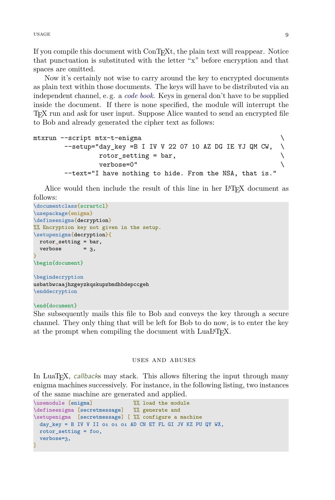<span id="page-10-0"></span>usage 9 and 2012 and 2012 and 2012 and 2012 and 2012 and 2012 and 2012 and 2012 and 2012 and 2012 and 2012 and

If you compile this document with ConTEXt, the plain text will reappear. Notice that punctuation is substituted with the letter "x" before encryption and that spaces are omitted.

Now it's certainly not wise to carry around the key to encrypted documents as plain text within those documents. The keys will have to be distributed via an independent channel, e. g. a *[code book](http://de.wikipedia.org/wiki/Kenngruppenbuch)*. Keys in general don't have to be supplied inside the document. If there is none specified, the module will interrupt the TEX run and ask for user input. Suppose Alice wanted to send an encrypted file to Bob and already generated the cipher text as follows:

```
mtxrun --script mtx-t-enigma \
     -setup="day_key =B I IV V 22 07 10 AZ DG IE YJ QM CW,
           rotor setting = bar,
           verbose=0" \setminus--text="I have nothing to hide. From the NSA, that is."
```
Alice would then include the result of this line in her L<sup>AT</sup>FX document as follows:

```
\documentclass{scrartcl}
\usepackage{enigma}
\defineenigma{decryption}
%% Encryption key not given in the setup.
\setupenigma{decryption}{
 rotor_setting = bar,
 verbose = 3,
}
\begin{document}
\begindecryption
usbatbwcaajhzgeyzkqskupzbmdhbdepccgeh
\enddecryption
```
#### \end{document}

She subsequently mails this file to Bob and conveys the key through a secure channel. They only thing that will be left for Bob to do now, is to enter the key at the prompt when compiling the document with LuaL<sup>AT</sup>FX.

#### uses and abuses

In LuaT<sub>E</sub>X, *callbacks* may stack. This allows filtering the input through many enigma machines successively. For instance, in the following listing, two instances of the same machine are generated and applied.

```
\usemodule [enigma] %% load the module
\defineenigma [secretmessage] %% generate and
\setupenigma [secretmessage] [ %% configure a machine
 day\_\text{key} = B IV V II 01 01 01 AD CN ET FL GI JV KZ PU QY WX,
 rotor_setting = foo,
 verbose=3,
]
```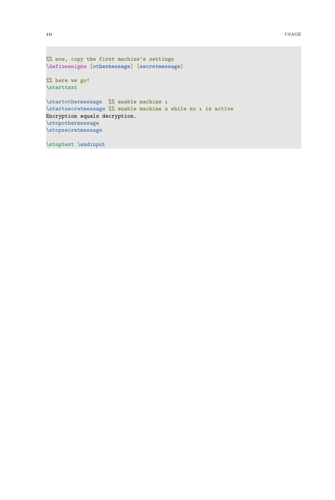```
%% now, copy the first machine's settings
\defineenigma [othermessage] [secretmessage]
%% here we go!
\starttext
\startothermessage %% enable machine 1
\startsecretmessage %% enable machine 2 while no 1 is active
Encryption equals decryption.
\stopothermessage
\stopsecretmessage
\stoptext \endinput
```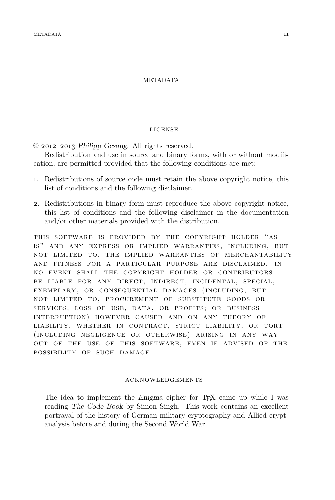#### METADATA

#### license

<span id="page-12-1"></span><span id="page-12-0"></span>© 2012–2013 Philipp Gesang. All rights reserved.

Redistribution and use in source and binary forms, with or without modification, are permitted provided that the following conditions are met:

- 1. Redistributions of source code must retain the above copyright notice, this list of conditions and the following disclaimer.
- 2. Redistributions in binary form must reproduce the above copyright notice, this list of conditions and the following disclaimer in the documentation and/or other materials provided with the distribution.

this software is provided by the copyright holder "as is" and any express or implied warranties, including, but not limited to, the implied warranties of merchantability and fitness for a particular purpose are disclaimed. in no event shall the copyright holder or contributors be liable for any direct, indirect, incidental, special, exemplary, or consequential damages (including, but not limited to, procurement of substitute goods or services; loss of use, data, or profits; or business interruption) however caused and on any theory of liability, whether in contract, strict liability, or tort (including negligence or otherwise) arising in any way out of the use of this software, even if advised of the possibility of such damage.

#### acknowledgements

− The idea to implement the Enigma cipher for TEX came up while I was reading The Code Book by Simon Singh. This work contains an excellent portrayal of the history of German military cryptography and Allied cryptanalysis before and during the Second World War.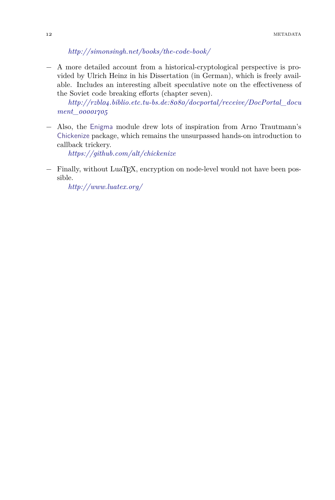*<http://simonsingh.net/books/the-code-book/>*

<span id="page-13-0"></span>− A more detailed account from a historical-cryptological perspective is provided by Ulrich Heinz in his Dissertation (in German), which is freely available. Includes an interesting albeit speculative note on the effectiveness of the Soviet code breaking efforts (chapter seven).

*[http://rzbl04.biblio.etc.tu-bs.de:8080/docportal/receive/DocPortal\\_docu](http://rzbl04.biblio.etc.tu-bs.de:8080/docportal/receive/DocPortal_document_00001705) [ment\\_00001705](http://rzbl04.biblio.etc.tu-bs.de:8080/docportal/receive/DocPortal_document_00001705)*

− Also, the Enigma module drew lots of inspiration from Arno Trautmann's Chickenize package, which remains the unsurpassed hands-on introduction to callback trickery.

*<https://github.com/alt/chickenize>*

− Finally, without LuaTEX, encryption on node-level would not have been possible.

*<http://www.luatex.org/>*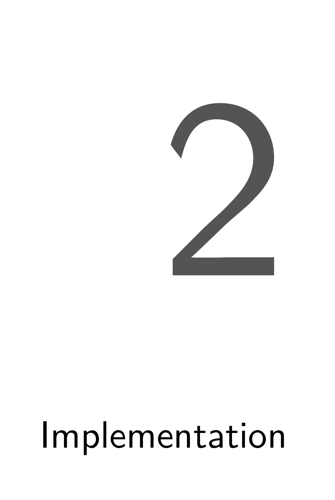

# Implementation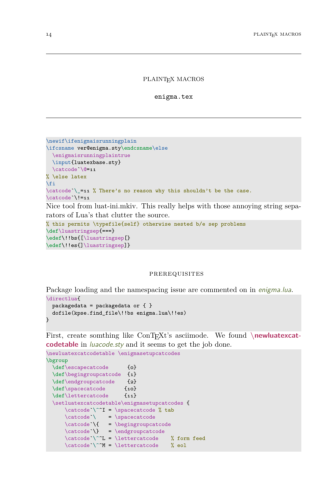#### PLAINT<sub>EX</sub> MACROS

enigma.tex

```
\newif\ifenigmaisrunningplain
\ifcsname ver@enigma.sty\endcsname\else
 \enigmaisrunningplaintrue
 \input{luatexbase.sty}
 \catcode`\@=11
% \else latex
\fi
\catcode`\_=11 % There's no reason why this shouldn't be the case.
\catcode`\!=11
Nice tool from luat-ini.mkiv. This really helps with those annoying string sepa-
rators of Lua's that clutter the source.
```

```
% this permits \typefile{self} otherwise nested b/e sep problems
\def\luastringsep{===}
\edef\!!bs{[\luastringsep[}
\edef\!!es{]\luastringsep]}
```
#### prerequisites

Package loading and the namespacing issue are commented on in *enigma.lua*.

```
\directlua<sup>{</sup>
  packagedata = packagedata or \{ \}dofile(kpse.find_file\!!bs enigma.lua\!!es)
}
```
First, create somthing like ConT<sub>E</sub>Xt's asciimode. We found **\newluatexcatcodetable** in *luacode.sty* and it seems to get the job done.

```
\newluatexcatcodetable \enigmasetupcatcodes
\bgroup
 \def\escapecatcode {0}
 \def\begingroupcatcode {1}
 \def\endgroupcatcode {2}
 \def\spacecatcode {10}
 \def\lettercatcode {11}
 \setluatexcatcodetable\enigmasetupcatcodes {
     \c{ \cdot \ }^I = \s{ \cdot \ } tab
     \catcode' = \spacecatcode
     \text{code'} = \begingroupcatcode
     \catcode' = \endgroupcatcode
     \catcode'\^L = \lettercatcode % form feed
     \catcode'\^M = \lettercatcode % eol
```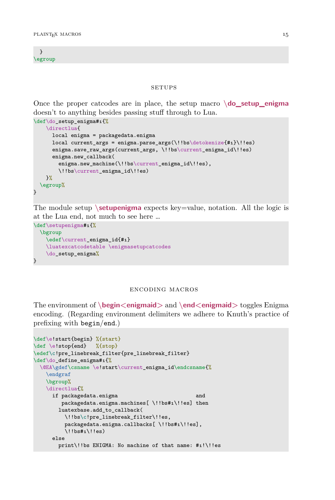<span id="page-16-0"></span>} \egroup

#### **SETUPS**

Once the proper catcodes are in place, the setup macro  $\dot{\text{do}}$  setup enigma doesn't to anything besides passing stuff through to Lua.

```
\def\do_setup_enigma#1{%
    \directlua{
     local enigma = packagedata.enigma
     local current args = enigma.parse args(\!!bs\detokenize{#1}\!!es)
     enigma.save_raw_args(current_args,\!!bs\current_enigma_id\!!es)
      enigma.new_callback(
        enigma.new_machine(\!!bs\current_enigma_id\!!es),
        \!!bs\current_enigma_id\!!es)
   }%
 \egroup%
}
```
The module setup **\setupenigma** expects key=value, notation. All the logic is at the Lua end, not much to see here …

```
\def\setupenigma#1{%
  \bgroup
    \edef\current_enigma_id{#1}
    \luatexcatcodetable \enigmasetupcatcodes
    \do_setup_enigma%
}
```
#### encoding macros

The environment of **\begin<enigmaid>** and **\end<enigmaid>** toggles Enigma encoding. (Regarding environment delimiters we adhere to Knuth's practice of prefixing with begin/end.)

```
\def\e!start{begin} %{start}
\def \e!stop{end} %{stop}
\edef\c!pre_linebreak_filter{pre_linebreak_filter}
\def\do_define_enigma#1{%
 \@EA\gdef\csname \e!start\current_enigma_id\endcsname{%
   \endgraf
   \bgroup%
   \directlua{%
     if packagedata.enigma and
        packagedata.enigma.machines[ \!!bs#1\!!es] then
       luatexbase.add_to_callback(
         \!!bs\c!pre_linebreak_filter\!!es,
         packagedata.enigma.callbacks[ \!!bs#1\!!es],
         \!!bs#1\!!es)
     else
       print\!!bs ENIGMA: No machine of that name: #1!\!!es
```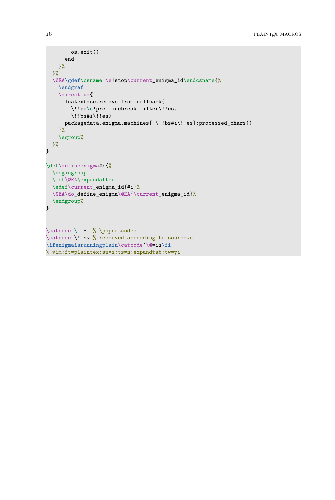```
os.exit()
     end
   }%
  }%
  \@EA\gdef\csname \e!stop\current_enigma_id\endcsname{%
   \endgraf
   \directlua{
     luatexbase.remove_from_callback(
        \!!bs\c!pre_linebreak_filter\!!es,
        \langle!!bs#1\langle!!es)
     packagedata.enigma.machines[ \!!bs#1\!!es]:processed_chars()
    }%
    \egroup%
 }%
}
\def\defineenigma#1{%
  \begingroup
  \let\@EA\expandafter
  \edef\current_enigma_id{#1}%
 \@EA\do_define_enigma\@EA{\current_enigma_id}%
  \endgroup%
}
\catcode`\_=8 % \popcatcodes
\catcode`\!=12 % reserved according to source2e
\ifenigmaisrunningplain\catcode`\@=12\fi
% vim:ft=plaintex:sw=2:ts=2:expandtab:tw=71
```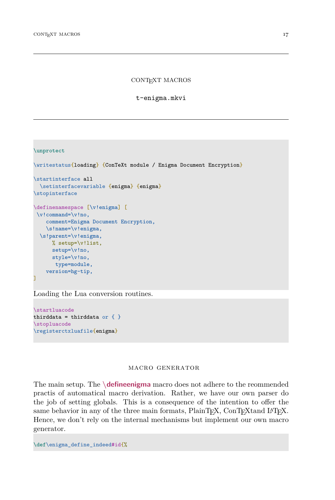<span id="page-18-2"></span>CONTEXT MACROS

t-enigma.mkvi

#### <span id="page-18-0"></span>\unprotect

```
\writestatus{loading} {ConTeXt module / Enigma Document Encryption}
\startinterface all
 \setinterfacevariable {enigma} {enigma}
\stopinterface
\definenamespace [\v!enigma] [
\v!command=\v!no,
   comment=Enigma Document Encryption,
   \s!name=\v!enigma,
 \s!parent=\v!enigma,
     % setup=\v!list,
     setup=\v!no,
     style=\v!no,
      type=module,
   version=hg-tip,
]
```
Loading the Lua conversion routines.

\startluacode thirddata = thirddata or  $\{ \}$ \stopluacode \registerctxluafile{enigma}

#### <span id="page-18-1"></span>macro generator

The main setup. The **\defineenigma** macro does not adhere to the reommended practis of automatical macro derivation. Rather, we have our own parser do the job of setting globals. This is a consequence of the intention to offer the same behavior in any of the three main formats, PlainTFX, ConTFXtand L<sup>AT</sup>FX. Hence, we don't rely on the internal mechanisms but implement our own macro generator.

\def\enigma\_define\_indeed#id{%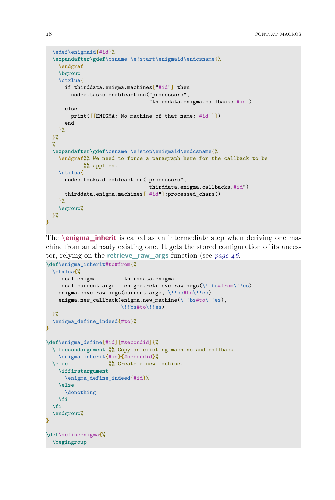```
\edef\enigmaid{#id}%
 \expandafter\gdef\csname \e!start\enigmaid\endcsname{%
    \endgraf
   \bgroup
   \ctxlua{
     if thirddata.enigma.machines["#id"] then
       nodes.tasks.enableaction("processors",
                                  "thirddata.enigma.callbacks.#id")
     else
        print([[ENIGMA: No machine of that name: #id!]])
     end
   }%
 \frac{1}{2}%
 \%\expandafter\gdef\csname \e!stop\enigmaid\endcsname{%
   \endgraf%% We need to force a paragraph here for the callback to be
            %% applied.
   \ctxlua{
     nodes.tasks.disableaction("processors",
                                 "thirddata.enigma.callbacks.#id")
     thirddata.enigma.machines["#id"]:processed_chars()
   }%
    \egroup%
 \frac{1}{2}%
}
```
<span id="page-19-0"></span>The **\enigma\_inherit** is called as an intermediate step when deriving one machine from an already existing one. It gets the stored configuration of its ancestor, relying on the **retrieve\_raw\_args** function (see *[page 46](#page-47-0)*.

```
\def\enigma_inherit#to#from{%
  \ctxlua{%
   local enigma = thirddata.enigma
   local current_args = enigma.retrieve_raw_args(\!!bs#from\!!es)
    enigma.save_raw_args(current_args, \!!bs#to\!!es)
    enigma.new_callback(enigma.new_machine(\!!bs#to\!!es),
                        \!!bs#to\!!es)
 \frac{1}{2}%
  \enigma_define_indeed{#to}%
}
\def\enigma_define[#id][#secondid]{%
  \ifsecondargument %% Copy an existing machine and callback.
   \enigma_inherit{#id}{#secondid}%
  \else \frac{1}{2}\% Create a new machine.
   \iffirstargument
     \enigma_define_indeed{#id}%
    \else
      \donothing
    \fi
  \fi
  \endgroup%
}
\def\defineenigma{%
  \begingroup
```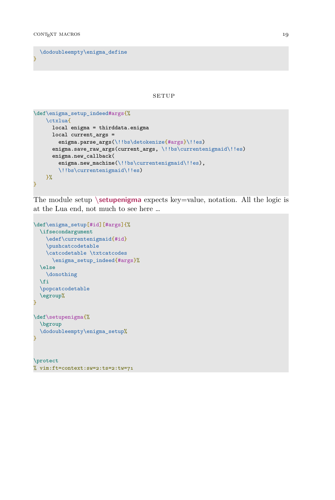```
\dodoubleempty\enigma_define
}
```
**SETUP** 

```
\def\enigma_setup_indeed#args{%
   \ctxlua{
     local enigma = thirddata.enigma
     local current \arg s =enigma.parse_args(\!!bs\detokenize{#args}\!!es)
     enigma.save_raw_args(current_args, \!!bs\currentenigmaid\!!es)
     enigma.new_callback(
        enigma.new machine(\!!bs\currentenigmaid\!!es),
        \!!bs\currentenigmaid\!!es)
   }%
}
```
The module setup **\setupenigma** expects key=value, notation. All the logic is at the Lua end, not much to see here …

```
\def\enigma_setup[#id][#args]{%
 \ifsecondargument
    \edef\currentenigmaid{#id}
    \pushcatcodetable
    \catcodetable \txtcatcodes
     \enigma_setup_indeed{#args}%
  \else
   \donothing
  \fi
  \popcatcodetable
  \egroup%
}
\def\setupenigma{%
 \bgroup
 \dodoubleempty\enigma_setup%
}
\protect
```
% vim:ft=context:sw=2:ts=2:tw=71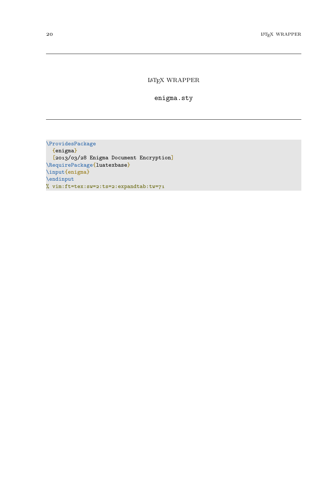#### LATEX WRAPPER

enigma.sty

<span id="page-21-0"></span>\ProvidesPackage {enigma} [2013/03/28 Enigma Document Encryption] \RequirePackage{luatexbase} \input{enigma} \endinput % vim:ft=tex:sw=2:ts=2:expandtab:tw=71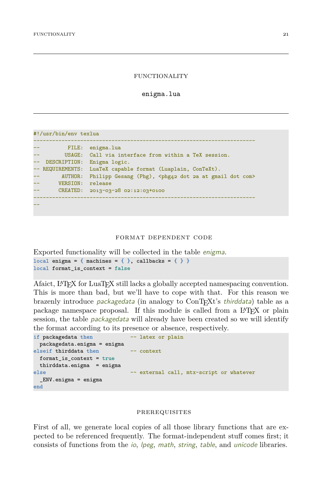#### FUNCTIONALITY

enigma.lua

```
#!/usr/bin/env texlua
-----------------------------------------------------------------------
         FILE: enigma.lua
        USAGE: Call via interface from within a TeX session.
-- DESCRIPTION: Enigma logic.
-- REQUIREMENTS: LuaTeX capable format (Luaplain, ConTeXt).
-- AUTHOR: Philipp Gesang (Phg), <phg42 dot 2a at gmail dot com>
-- VERSION: release
-- CREATED: 2013-03-28 02:12:03+0100
-----------------------------------------------------------------------
--
```
#### format dependent code

```
Exported functionality will be collected in the table enigma.
local enigma = { machines = { }, callbacks = { } }
local format is context = false
```
Afaict, L<sup>A</sup>T<sub>E</sub>X for LuaT<sub>E</sub>X still lacks a globally accepted namespacing convention. This is more than bad, but we'll have to cope with that. For this reason we brazenly introduce packagedata (in analogy to ConTEXt's thirddata) table as a package namespace proposal. If this module is called from a L<sup>A</sup>T<sub>E</sub>X or plain session, the table *packagedata* will already have been created so we will identify the format according to its presence or absence, respectively.

```
if packagedata then -- latex or plain
 packagedata.enigma = enigma
elseif thirddata then -- context
 format_is_context = true
 thirddata.enigma = enigma
else -- external call, mtx-script or whatever
 _ENV.enigma = enigma
end
```
#### prerequisites

First of all, we generate local copies of all those library functions that are expected to be referenced frequently. The format-independent stuff comes first; it consists of functions from the io, lpeg, math, string, table, and unicode libraries.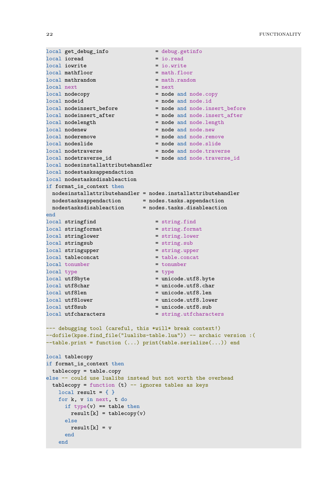```
local get_debug_info = debug.getinfo
                                 = io.read<br>= io.write
local iowrite = io.write<br>local mathfloor = = math.floor
local mathfloor
local mathrandom = math.random
local next = next<br>local nodecopy = node = node
                                  = node and node.copy
local nodeid = node and node.id
local nodeinsert_before = node and node.insert_before
local nodeinsert_after = node and node.insert_after
local nodelength = node and node.length
local nodenew = node and node.new<br>local noderemove = node and node.rem
                                  = node and node.remove
local nodeslide = node and node.slide
local nodetraverse = node and node.traverse
local nodetraverse_id = node and node.traverse_id
local nodesinstallattributehandler
local nodestasksappendaction
local nodestasksdisableaction
if format_is_context then
 nodesinstallattributehandler = nodes.installattributehandler
 nodestasksappendaction = nodes.tasks.appendaction
 nodestasksdisableaction = nodes.tasks.disableaction
end
local stringfind = string.find
local stringformat = string.format<br>local stringlower = string.lower
local stringlower = string.low<br>local stringsub = string.sub<br>= string.sub
local stringsub
local stringupper = string.upper
\begin{aligned} \text{local } \text{table}.\text{concat} \end{aligned} \qquad \qquad \begin{aligned} \text{total } \text{table}.\text{concat} \end{aligned}local tonumber = tonumber = tonumber
local type = type = typelocal utf8byte = unicode.utf8.byte<br>local utf8char = unicode.utf8.char
                                 = unicode.utf8.char
\frac{1}{10} local utf8len = unicode.utf8.len
local utf8lower = unicode.utf8.lower<br>local utf8sub = unicode.utf8.sub
local utf8sub = unicode.utf8.sub<br>local utfcharacters = string.utfcharac
                                   = string.utfcharacters
--- debugging tool (careful, this *will* break context!)
--dofile(kpse.find_file("lualibs-table.lua")) -- archaic version :(
--table.print = function (...) print(table.serialize(...)) end
local tablecopy
if format_is_context then
 tablecopy = table.copy
else -- could use lualibs instead but not worth the overhead
 tablecopy = function (t) - ignores tables as keys
   local result = \{\}for k, v in next, t do
     if type(v) == table thenresult[k] = tablecopy(v)else
       result[k] = vend
   end
```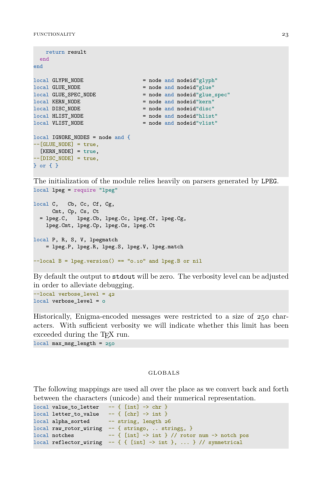```
return result
 end
end
local GLYPH_NODE = node and nodeid"g1yph"
local GLUE_NODE = node and nodeid"glue"
                           = node and nodeid"glue_spec"
local KERN NODE = node and nodeid"kern"
local DISC_NODE = node and nodeid"disc"
                           = node and nodeid"hlist"
local VLIST_NODE = node and nodeid"vlist"
local IGNORE NODES = node and {
--[GLUE NODE] = true,[KERN NODE] = true,
--[DISC_NODE] = true,} or { }
```
The initialization of the module relies heavily on parsers generated by LPEG. local lpeg = require "lpeg"

```
local C, Cb, Cc, Cf, Cg,
     Cmt, Cp, Cs, Ct
 = lpeg.C, lpeg.Cb, lpeg.Cc, lpeg.Cf, lpeg.Cg,
   lpeg.Cmt, lpeg.Cp, lpeg.Cs, lpeg.Ct
local P, R, S, V, lpegmatch
    = lpeg.P, lpeg.R, lpeg.S, lpeg.V, lpeg.match
-local B = lpeg.version() == "0.10" and lpeg.B or nil
```
By default the output to stdout will be zero. The verbosity level can be adjusted in order to alleviate debugging.

--local verbose\_level = 42 local verbose\_level = 0

Historically, Enigma-encoded messages were restricted to a size of 250 characters. With sufficient verbosity we will indicate whether this limit has been exceeded during the T<sub>EX</sub> run.

local max\_msg\_length = 250

#### globals

The following mappings are used all over the place as we convert back and forth between the characters (unicode) and their numerical representation.

```
local value_to_letter - - \{ [int] \rightarrow chr }
local letter_to_value -- { [chr] -> int }
local alpha_sorted -- string, length 26
local raw\_rotor\_wiring -- { stringo, .. string5, }local notches - { [int] \rightarrow int } // rotor num \rightarrow notch pos
local reflector_wiring - - { { [int] - > int }, ... } // symmetrical
```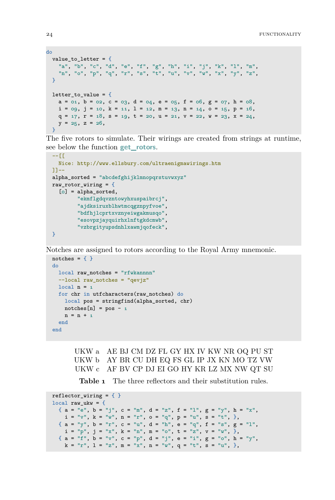```
do
 value_to_letter = {
   "a", "b", "c", "d", "e", "f", "g", "h", "i", "j", "k", "l", "m",
   "n", "o", "p", "q", "r", "s", "t", "u", "v", "w", "x", "y", "z",
 \mathbf{R}letter to value = {
   a = 01, b = 02, c = 03, d = 04, e = 05, f = 06, g = 07, h = 08,
   i = 0.9, j = 10, k = 11, l = 12, m = 13, n = 14, o = 15, p = 16,
   q = 17, r = 18, s = 19, t = 20, u = 21, v = 22, w = 23, x = 24,
   y = 25, z = 26,
  }
```
The five rotors to simulate. Their wirings are created from strings at runtime, see below the function **get\_rotors**.

```
-- [[
  Nice: http://www.ellsbury.com/ultraenigmawirings.htm
]]--
alpha_sorted = "abcdefghijklmnopqrstuvwxyz"
raw_rotor_wiring = {
 [0] = alpha_sorted,
        "ekmflgdqvzntowyhxuspaibrcj",
        "ajdksiruxblhwtmcqgznpyfvoe",
        "bdfhjlcprtxvznyeiwgakmusqo",
        "esovpzjayquirhxlnftgkdcmwb",
        "vzbrgityupsdnhlxawmjqofeck",
}
```
Notches are assigned to rotors according to the Royal Army mnemonic.

```
notches = \{\}do
 local raw notches = "rfwkannnn"
 --local raw notches = "qevjz"
 local n = 1for chr in utfcharacters(raw_notches) do
   local pos = stringfind(alpha_sorted, chr)
   notches[n] = pos - 1n = n + 1end
end
```
UKW a AE BJ CM DZ FL GY HX IV KW NR OQ PU ST UKW b AY BR CU DH EQ FS GL IP JX KN MO TZ VW UKW c AF BV CP DJ EI GO HY KR LZ MX NW QT SU

**Table 1** The three reflectors and their substitution rules.

```
reflector_wiring = \{ \}local raw_ukw = {\{ \ \mathsf{a}\ =\ {}^{\mathsf{u}} \mathsf{e}^{\mathsf{u}},\ \mathsf{b}\ =\ {}^{\mathsf{u}} \mathsf{j}^{\mathsf{u}},\ \mathsf{c}\ =\ {}^{\mathsf{u}} \mathsf{m}^{\mathsf{u}},\ \mathsf{d}\ =\ {}^{\mathsf{u}} \mathsf{z}^{\mathsf{u}},\ \mathsf{f}\ =\ {}^{\mathsf{u}} \mathsf{1}^{\mathsf{u}},\ \mathsf{g}\ =\ {}^{\mathsf{u}} \mathsf{y}^{\mathsf{u}},\ \mathsf{h}\ =\ {}^{\mathsf{u}} \mathsf{x}^{\mathsf{u}},i = "v", k = "w", n = "r", o = "q", p = "u", s = "t", },{ a = "y", b = "r", c = "u", d = "h", e = "q", f = "s", g = "l",i = "p", j = "x", k = "n", m = "o", t = "z", v = "w", }{ a = "f", b = "v", c = "p", d = "j", e = "i", g = "o", h = "y",k = "r", 1 = "z", m = "x", n = "w", q = "t", s = "u", },
```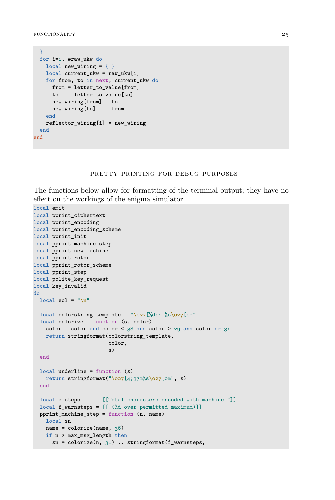```
}
 for i=1, #raw_ukw do
   local new_wiring = \{ \}local current_ukw = raw_ukw[i]
   for from, to in next, current_ukw do
    from = letter_to_value[from]
    to = letter_to_value[to]
    new_wiring[from] = to
     new wiring[to] = from
   end
   reflector_wiring[i] = new_wiring
 end
end
```
#### pretty printing for debug purposes

The functions below allow for formatting of the terminal output; they have no effect on the workings of the enigma simulator.

```
local emit
local pprint ciphertext
local pprint_encoding
local pprint_encoding_scheme
local pprint_init
local pprint_machine_step
local pprint_new_machine
local pprint_rotor
local pprint rotor scheme
local pprint_step
local polite_key_request
local key_invalid
do
 local eol = "\n\ln"local colorstring_template = "\o27[%d;1m%s\o27[om"local colorize = function (s, color)
   color = color and color < 38 and color > 29 and color or 31return stringformat(colorstring_template,
                        color,
                        s)
  end
  local underline = function (s)
   return stringformat("\o27[4;37m%s\027[om", s)end
  local s_steps = [[Total characters encoded with machine "]]
 local f_warnsteps = [[ (%d over permitted maximum)]]
  pprint_machine_step = function (n, name)
   local sn
   name = colorize(name, 36)if n > max_msg_length then
      sn = colorize(n, 31).. stringformat(f_warnsteps,
```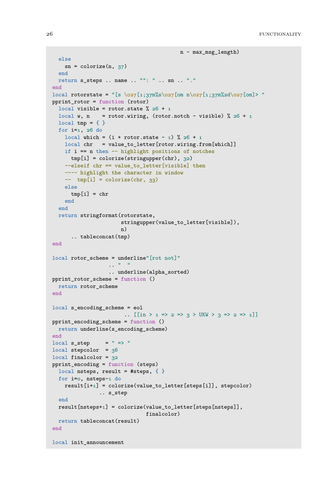```
n - max_msg_length)
 else
   sn = colorize(n, 37)end
 return s_steps .. name .. "": " .. sn .. "."
end
local rotorstate = "[s \o27[1;37m%s\o27[om n\o27[1;37m%2d\o27[om]> "
pprint rotor = function (rotor)local visible = rotor.state \frac{9}{26} + 1
 local w, n = rotor.wiring, (rotor.notch - visible) \frac{9}{26} + 1
 local tmp = \{\}for i=1, 26 do
    local which = (i + root.state - 1) % 26 + 1local chr = value to letter[rotor.wiring.from[which]]if i == n then -- highlight positions of notches
     tmp[i] = colorize(stringupper(chr), 32)
    --elseif chr == value_to_letter[visible] then
    ---- highlight the character in window
    -- tmp[i] = colorize(chr, 33)
    else
      tmp[i] = chrend
  end
  return stringformat(rotorstate,
                       stringupper(value_to_letter[visible]),
                       n)
      .. tableconcat(tmp)
end
local rotor_scheme = underline"[rot not]"
                   \mathbf{r} . \mathbf{r} = \mathbf{0}.. underline(alpha_sorted)
pprint_rotor_scheme = function ()
 return rotor_scheme
end
local s_encoding_scheme = eol
                        .. [[\text{in } 2 \Rightarrow 2 \Rightarrow 3 \Rightarrow \text{UKW } 2 \Rightarrow 3 \Rightarrow 2 \Rightarrow 1]]pprint_encoding_scheme = function ()
 return underline(s_encoding_scheme)
end
local s\_step = " => "
local stepcolor = 36local finalcolor = 32pprint_encoding = function (steps)
 local nsteps, result = #steps, \{\}for i=0, nsteps-1 do
    result[i+1] = colorize(value_to_letter[steps[i]], stepcolor)
                .. s step
  end
 result[nsteps+1] = colorize(value_to_letter[steps[nsteps]],
                                finalcolor)
 return tableconcat(result)
end
local init_announcement
```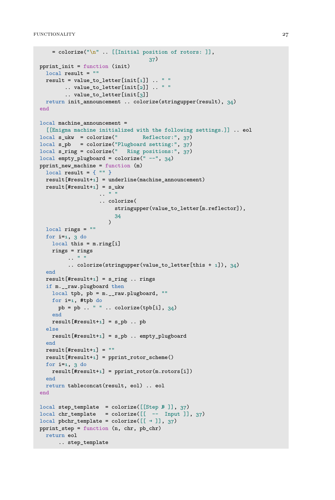```
= colorize("\n" .. [[Initial position of rotors: ]],
                                    37)
pprint_init = function (init)
  local result = ""
  result = value_to_letter[init[1]] \ldots " "
        .. value_to_letter[init[2]] .. " "
        .. value_to_letter[init[3]]
 return init_announcement .. colorize(stringupper(result), 34)
end
local machine_announcement =
  [[Enigma machine initialized with the following settings.]] .. eol
local s_ukw = colorize("<br>Reflector:", 37)
local s pb = colorize("Plugboard setting:", 37)
local s ring = colorize(" Ring positions:", 37)local empty_plugboard = colorize(" --", 34)
pprint_new_machine = function (m)
  local result = { "" }
  result[|t|result+1] = underline(machine announcement)result[#result+1] = s ukw
                   \mathbf{r} . \mathbf{r} " "
                    .. colorize(
                        stringupper(value_to_letter[m.reflector]),
                        34
                      \lambdalocal rings = ""
  for i=1, 3 do
    local this = m.ring[i]
   rings = rings
         . . \sim " \sim "
         .. colorize(stringupper(value to letter[this + 1]), 34)
  end
  result[+1] = s_ring.. rings
  if m.__raw.plugboard then
   local tpb, pb = m.__raw.plugboard, ""
   for i=1, #tpb do
     pb = pb ... " " ... colorize(tpb[i], 34)end
    result[#result+1] = s_pb .. pb
  else
    result[#result+1] = s_pb.. empty_plugboard
  end
  result[|tresult+1] = ""
  result[#result+1] = pprint rotor scheme()
  for i=1, 3 do
    result[|t|result+1] = print\_rotor(m.rotors[i])end
  return tableconcat(result, eol) .. eol
end
local step_template = colorize([[Step № ]], 37)
local chr_template = colorize([[ -- Input ]], 37)
local pbchr_template = colorize([[ \rightarrow ]], 37)
pprint_step = function (n, chr, pb_chr)
 return eol
      .. step_template
```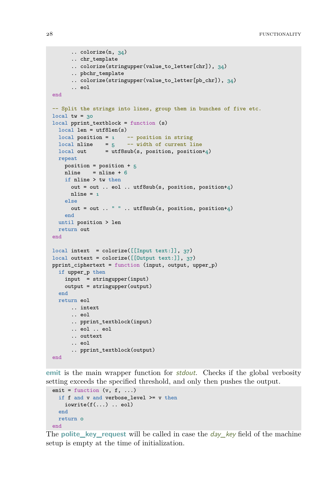```
.. colorize(n, 34)
      .. chr_template
      .. colorize(stringupper(value_to_letter[chr]), 34)
      .. pbchr_template
      .. colorize(stringupper(value_to_letter[pb_chr]), 34)
      .. eol
end
-- Split the strings into lines, group them in bunches of five etc.
local tw = 30local pprint_textblock = function (s)
 local len = utf8len(s)
  local position = 1 - position is stringlocal nline = 5 -- width of current line
 local out = utf8sub(s, position, position+4)repeat
   position = position + 5
   nline = nline + 6
   if nline > tw then
     out = out .. eol .. utf8sub(s, position, position+4)
     nline = 1else
     out = out .. " " ... utf8sub(s, position, position+4)
   end
 until position > len
 return out
end
local intext = colorize([[Input text:]], 37)
local outtext = colorize([[Output text:]], 37)
pprint_ciphertext = function (input, output, upper_p)
 if upper_p then
   input = stringupper(input)
   output = stringupper(output)
 end
 return eol
     .. intext
      .. eol
      .. pprint_textblock(input)
      .. eol .. eol
      .. outtext
      .. eol
      .. pprint_textblock(output)
end
```
**emit** is the main wrapper function for *stdout*. Checks if the global verbosity setting exceeds the specified threshold, and only then pushes the output.

```
emit = function (v, f, ...)if f and v and verbose_level \rangle = v then
    iowrite(f(\ldots)).. eol)
  end
 return 0
end
```
The **polite\_key\_request** will be called in case the day\_key field of the machine setup is empty at the time of initialization.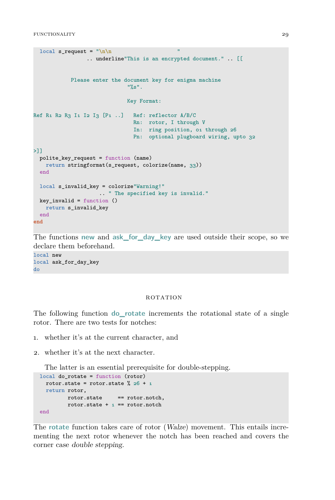```
local s request = "\ln \ln.. underline"This is an encrypted document." .. [[
           Please enter the document key for enigma machine
                              "%s".
                              Key Format:
Ref R1 R2 R3 I1 I2 I3 [P1 ..] Ref: reflector A/B/C
                               Rn: rotor, I through V
                                In: ring position, 01 through 26
                                Pn: optional plugboard wiring, upto 32
>11polite_key_request = function (name)
   return stringformat(s_request, colorize(name, 33))
 end
 local s_invalid_key = colorize"Warning!"
                    .. " The specified key is invalid."
 key_invalid = function ()
   return s_invalid_key
 end
end
```
The functions **new** and **ask\_for\_day\_key** are used outside their scope, so we declare them beforehand.

local new local ask\_for\_day\_key do

#### ROTATION

The following function **do\_rotate** increments the rotational state of a single rotor. There are two tests for notches:

- 1. whether it's at the current character, and
- 2. whether it's at the next character.

The latter is an essential prerequisite for double-stepping.

```
local do_rotate = function (rotor)
  rotor.state = rotor.state \frac{9}{26} + 1
  return rotor,
         rotor.state == rotor.notch,
         rotor.state + _1 == rotor.notch
end
```
The **rotate** function takes care of rotor (Walze) movement. This entails incrementing the next rotor whenever the notch has been reached and covers the corner case double stepping.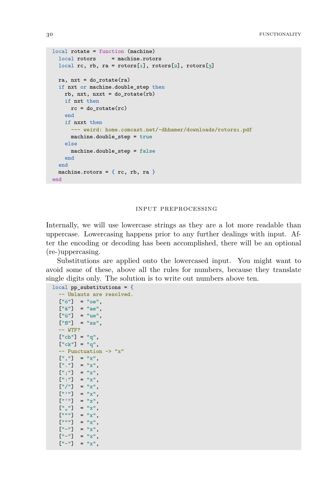```
local rotate = function (machine)
 local rotors = machine.rotors
 local rc, rb, ra = rotors[1], rotors[2], rotors[3]
 ra, nxt = do_rotate(ra)
  if nxt or machine.double_step then
   rb, nxt, nxxt = do_{rotate}(rb)if nxt then
     rc = dorotate(rc)end
   if nxxt then
      --- weird: home.comcast.net/~dhhamer/downloads/rotors1.pdf
     machine.double step = true
    else
     machine.double step = false
    end
  end
  machine.rotors = {rc, rb, ra}
end
```
#### input preprocessing

Internally, we will use lowercase strings as they are a lot more readable than uppercase. Lowercasing happens prior to any further dealings with input. After the encoding or decoding has been accomplished, there will be an optional (re-)uppercasing.

Substitutions are applied onto the lowercased input. You might want to avoid some of these, above all the rules for numbers, because they translate single digits only. The solution is to write out numbers above ten.

```
local pp_substitutions = {
 -- Umlauts are resolved.
 ["ö"] = "oe",\lceil"ä"\rceil = "ae",
 ["ü"] = "ue",
 ["\beta"] = "ss",
  -- WTF?
 ["ch"] = "q",["ck"] = "q",-- Punctuation -> "x"
 [","] = "x",
 ["."] = "x",
  [";"] = "x",
  [":"] = "x",
  ["/"] = "x",
  ["'"] = "x",
  ["''"] = "x",
  ["""] = "x",
  {\binom{m}{m}} = "x",
  ["""] = "x",["-"] = "x",
  ["-"] = "x",
  ["-"] = "x",
```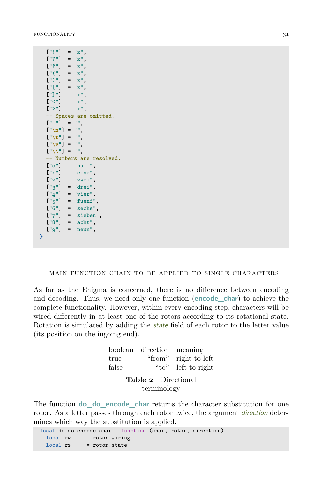```
[1111] = 1x1,
   ["?"] = "x",
   ["\uparrow"] = "x",
   ["(") = "x",
   [")"] = "x",
   ["["] = "x",
   ["]"] = "x",
   ["<"] = "x",
   [">"] = "x",
   -- Spaces are omitted.
   [" "] = "",
   \left[\sqrt[n]{n}\right] = \sqrt[n]{n},
   ["\text{ }t"] = "",
   \begin{bmatrix} 0 \sqrt{v}^n \end{bmatrix} = 0",
  ["\\"] = "",
    -- Numbers are resolved.
  ['o"] = "null",\begin{bmatrix} 0 & 1 \end{bmatrix} = "eins",
   ["2"] = "zwei",
   [''3"] = "drei",['4"] = "vier",['5"] = "fuenf",['6"] = "sechs",\begin{bmatrix} \n^{\text{H}} 7 \n^{\text{H}} \n\end{bmatrix} = "sieben",
   [''8"] = "acht",[''g''] = "neun",}
```
#### main function chain to be applied to single characters

As far as the Enigma is concerned, there is no difference between encoding and decoding. Thus, we need only one function (**encode\_char**) to achieve the complete functionality. However, within every encoding step, characters will be wired differently in at least one of the rotors according to its rotational state. Rotation is simulated by adding the state field of each rotor to the letter value (its position on the ingoing end).

|                            | boolean direction meaning |                      |  |  |  |  |  |  |
|----------------------------|---------------------------|----------------------|--|--|--|--|--|--|
| true                       |                           | "from" right to left |  |  |  |  |  |  |
| false                      | "to"                      | left to right        |  |  |  |  |  |  |
| <b>Table 2</b> Directional |                           |                      |  |  |  |  |  |  |

terminology

The function **do\_do\_encode\_char** returns the character substitution for one rotor. As a letter passes through each rotor twice, the argument *direction* determines which way the substitution is applied.

```
local do_do_encode_char = function (char, rotor, direction)
 local rw = rotor.wiring
 local rs = rotor.state
```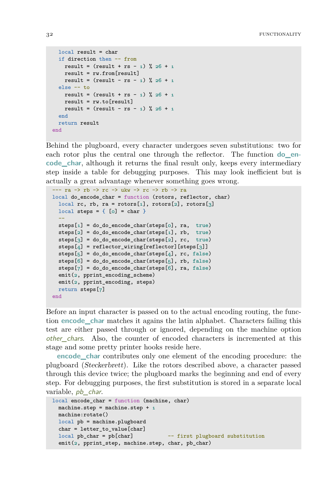```
local result = char
 if direction then -- from
   result = (result + rs - 1) % 26 + 1
   result = rw.from[result]
   result = (result - rs - 1) % 26 + 1else -- to
   result = (result + rs - 1) % 26 + 1
   result = rw.to[result]
   result = (result - rs - 1) % 26 + 1
 end
 return result
end
```
Behind the plugboard, every character undergoes seven substitutions: two for each rotor plus the central one through the reflector. The function **do** en**code\_char**, although it returns the final result only, keeps every intermediary step inside a table for debugging purposes. This may look inefficient but is actually a great advantage whenever something goes wrong.

```
--- ra -> rb -> rc -> ukw -> rc -> rb -> ra
local do_encode_char = function (rotors, reflector, char)
 local rc, rb, ra = rotors[1], rotors[2], rotors[3]
 local steps = \{ [o] = char \}--
 steps[1] = do_do_encode_char(steps[0], ra, true)
 steps[2] = do_do_encode_char(steps[1], rb, true)
 steps[3] = do_do_encode_char(steps[2], rc, true)
 steps[4] = reflector wiring[reflector][steps[3]]
 steps[5] = do_do\_encode\_char(steps[4], rc, false)steps[6] = do_do_encode_char(steps[5], rb, false)
 steps[7] = do_do\_encode\_char(steps[6], ra, false)emit(2, pprint_encoding_scheme)
 emit(2, pprint_encoding, steps)
 return steps[7]
end
```
Before an input character is passed on to the actual encoding routing, the function **encode\_char** matches it agains the latin alphabet. Characters failing this test are either passed through or ignored, depending on the machine option other chars. Also, the counter of encoded characters is incremented at this stage and some pretty printer hooks reside here.

**encode\_char** contributes only one element of the encoding procedure: the plugboard (Steckerbrett). Like the rotors described above, a character passed through this device twice; the plugboard marks the beginning and end of every step. For debugging purposes, the first substitution is stored in a separate local variable, *pb* char.

```
local encode char = function (machine, char)
 machine.step = machine.step + 1machine:rotate()
 local pb = machine.plugboard
 char = letter_to_value[char]
 local pb_char = pb[char] -- first plugboard substitution
 emit(2, pprint_step, machine.step, char, pb_char)
```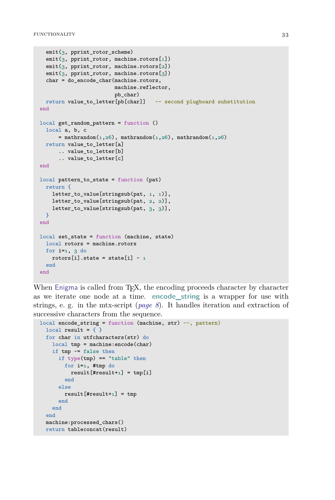```
emit(3, pprint rotor scheme)
  emit(3, pprint_rotor, machine.rotors[1])
  emit(3, pprint_rotor, machine.rotors[2])
  emit(3, pprint_rotor, machine.rotors[3])
  char = do_encode_char(machine.rotors,
                        machine.reflector,
                        pb_char)
 return value_to_letter[pb[char]] -- second plugboard substitution
end
local get_random_pattern = function ()
  local a, b, c
      = mathrandom(1,26), mathrandom(1,26), mathrandom(1,26)return value to letter[a]
      .. value to letter[b]
      .. value_to_letter[c]
end
local pattern to state = function (pat)
 return {
   letter_to_value[stringsub(pat, 1, 1)],
   letter_to_value[stringsub(pat, 2, 2)],
    letter_to_value[stringsub(pat, 3, 3)],
 }
end
local set_state = function (machine, state)
 local rotors = machine.rotors
 for i=1, 3 do
   rotors[i].state = state[i] - _1end
end
```
When Enigma is called from T<sub>EX</sub>, the encoding proceeds character by character as we iterate one node at a time. **encode\_string** is a wrapper for use with strings, e. g. in the mtx-script (*[page 8](#page-9-0)*). It handles iteration and extraction of successive characters from the sequence.

```
local encode_string = function (machine, str) --, pattern)
 local result = \{\}for char in utfcharacters(str) do
   local tmp = machine:encode(char)
   if tmp ~= false then
     if type(tmp) == "table" thenfor i=1, #tmp do
          result[4result+1] = tmp[i]end
     else
       result[4result+1] = tmpend
   end
 end
 machine:processed_chars()
 return tableconcat(result)
```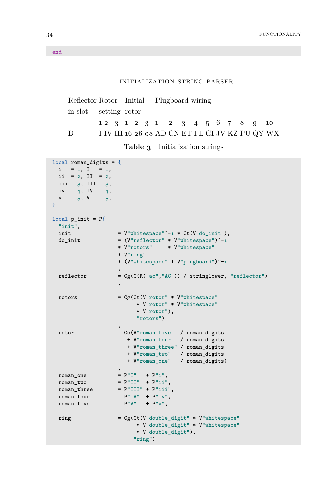#### initialization string parser

| Reflector Rotor Initial Plugboard wiring |                                                 |  |  |  |  |  |  |  |
|------------------------------------------|-------------------------------------------------|--|--|--|--|--|--|--|
| in slot setting rotor                    |                                                 |  |  |  |  |  |  |  |
|                                          | 12 3 1 2 3 1 2 3 4 5 6 7 8 9 10                 |  |  |  |  |  |  |  |
| B                                        | I IV III 16 26 08 AD CN ET FL GI JV KZ PU QY WX |  |  |  |  |  |  |  |

**Table 3** Initialization strings

```
local roman_digits = {
 i = 1, I = 1,ii = 2, II = 2,
 iii = 3, III = 3,
 iv = 4, IV = 4,
 v = 5, V = 5,
}
local p\_init = P{
 "init",
 init = V''whitespace''^-1 * Ct(V''do_init''),
 \texttt{do\_init} \quad = \texttt{(V"reflectron" * V"whitespace")^--1}* V"rotors" * V"whitespace"
                    * V"ring"
                   * (V"whitespace" * V"plugboard")^-1
                    ,
 reflector = Cg(C(R("ac", "AC")) / stringlower, "reflector"),
 rotors = Cg(Ct(V"rotor" * V"whitespace"
                         * V"rotor" * V"whitespace"
                         * V"rotor"),
                         "rotors")
                    ,
  rotor = Cs(V"roman_five" / roman_digits
                       + V"roman_four" / roman_digits
                      + V"roman_three" / roman_digits
                       + V"roman_two" / roman_digits
                       + V"roman_one" / roman_digits)
                    ,
 roman_one = P''I'' + P''i'',
 roman_two = P''II'' + P''iii'',
 roman_three = P''III'' + P''iii'',
  \text{roman\_four} = P''IV'' + P''iv'',\texttt{roman\_five} = P''V'' + P''v'',
 ring = Cg(Ct(V''double\_digit'' * V''whitespace")* V"double_digit" * V"whitespace"
                         * V"double_digit"),
                        "ring")
```
end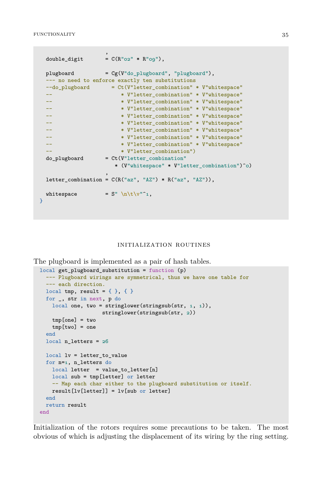```
,
  double\_digit = C(R"oz" * R"og"),
 plugboard = Cg(V"do_plugboard", "plugboard"),
 --- no need to enforce exactly ten substitutions
 --do_plugboard = Ct(V"letter_combination" * V"whitespace"
 -- * * V"letter combination" * V"whitespace"
 -- * * V"letter combination" * V"whitespace"
 -- * * V"letter_combination" * V"whitespace"<br>-- * * V"letter_combination" * V"whitespace"
                      * V"letter_combination" * V"whitespace"
 -- * * V"letter_combination" * V"whitespace"
  -- * * V"letter_combination" * V"whitespace"
  -- * * V"letter_combination" * V"whitespace"
 -- * * V"letter combination" * V"whitespace"
 -- * * V"letter combination")
 do_plugboard = Ct(V"letter\_combination"* (V"whitespace" * V"letter_combination")^0)
                  ,
  letter\_combination = C(R("az", "AZ") * R("az", "AZ"),whitespace = S'' \sqrt{n} t \sqrt{v''}^1,
}
```
#### initialization routines

The plugboard is implemented as a pair of hash tables.

```
local get_plugboard_substitution = function (p)
 --- Plugboard wirings are symmetrical, thus we have one table for
 --- each direction.
 local tmp, result = \{\}, \{\}for _, str in next, p do
   local one, two = stringlower(stringsub(str, 1, 1)),
                    stringlower(stringsub(str, 2))
   tmp[one] = two
   tmp[two] = oneend
 local n letters = 26
 local lv = letter_to_value
 for n=1, n_letters do
   local letter = value_to_letter[n]
   local sub = tmp[letter] or letter
   -- Map each char either to the plugboard substitution or itself.
   result[lv[letter]] = lv[sub or letter]
 end
 return result
end
```
Initialization of the rotors requires some precautions to be taken. The most obvious of which is adjusting the displacement of its wiring by the ring setting.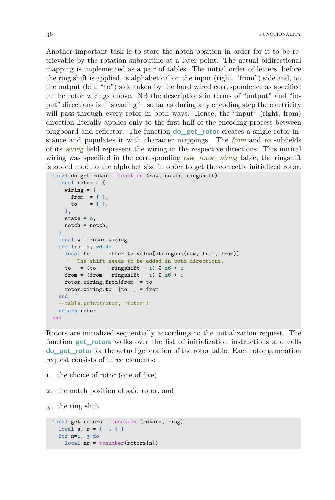<span id="page-37-0"></span>Another important task is to store the notch position in order for it to be retrievable by the rotation subroutine at a later point. The actual bidirectional mapping is implemented as a pair of tables. The initial order of letters, before the ring shift is applied, is alphabetical on the input (right, "from") side and, on the output (left, "to") side taken by the hard wired correspondence as specified in the rotor wirings above. NB the descriptions in terms of "output" and "input" directions is misleading in so far as during any encoding step the electricity will pass through every rotor in both ways. Hence, the "input" (right, from) direction literally applies only to the first half of the encoding process between plugboard and reflector. The function **do\_get\_rotor** creates a single rotor instance and populates it with character mappings. The from and to subfields of its wiring field represent the wiring in the respective directions. This initital wiring was specified in the corresponding raw\_rotor\_wiring table; the ringshift is added modulo the alphabet size in order to get the correctly initialized rotor.

```
local do_get_rotor = function (raw, notch, ringshift)
 local rotor = {
   wiring = {
     from = { } },
     to = {},
   },
   state = 0,notch = notch,
 }
 local w = rotor.wiring
 for from=1, 26 do
   local to = letter_to_value[stringsub(raw, from, from)]
   --- The shift needs to be added in both directions.
   to = (to + ringshift - 1) % 26 + 1from = (from + ringshift - 1) % 26 + 1
   rotor.wiring.from[from] = to
   rotor.wiring.to [to ] = from
 end
 --table.print(rotor, "rotor")
 return rotor
end
```
Rotors are initialized sequentially accordings to the initialization request. The function **get\_rotors** walks over the list of initialization instructions and calls **do\_get\_rotor** for the actual generation of the rotor table. Each rotor generation request consists of three elements:

- 1. the choice of rotor (one of five),
- 2. the notch position of said rotor, and

3. the ring shift.

```
local get_rotors = function (rotors, ring)
 local s, r = \{\}, \{\}for n=1, 3 do
    local nr = tonumber(rotors[n])
```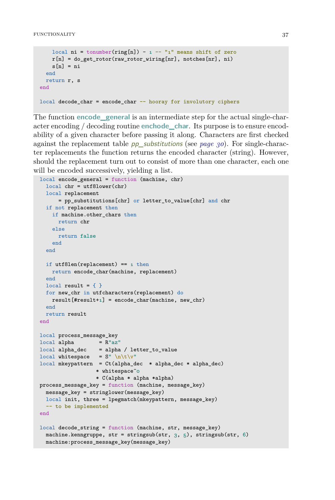```
local ni = tonumber(ring[n]) - 1 -- "1" means shift of zero
   r[n] = doget\_rotor(raw\_rotor\_wiring[nr], notches[nr], ni)s[n] = niend
 return r, s
end
local decode char = encode char - hooray for involutory ciphers
```
The function **encode\_general** is an intermediate step for the actual single-character encoding / decoding routine **enchode\_char**. Its purpose is to ensure encodability of a given character before passing it along. Characters are first checked against the replacement table pp\_substitutions (see *[page 30](#page-31-0)*). For single-character replacements the function returns the encoded character (string). However, should the replacement turn out to consist of more than one character, each one will be encoded successively, yielding a list.

```
local encode_general = function (machine, chr)
  local chr = utf8lower(chr)
  local replacement
      = pp_substitutions[chr] or letter_to_value[chr] and chr
  if not replacement then
   if machine.other_chars then
     return chr
    else
     return false
    end
  end
  if utf8len(replacement) == 1 then
   return encode char(machine, replacement)
  end
  local result = \{\}for new_chr in utfcharacters(replacement) do
   result[#result+1] = encode_char(machine, new_chr)
  end
  return result
end
local process_message_key
\begin{array}{rcl}\n\text{local alpha} & = R''az''\n\end{array}local alpha dec = alpha / letter to valuelocal whitespace = S'' \n\hbar \t\triv''local mkeypattern = Ct(alpha_dec * alpha_dec * alpha_dec)
                   * whitespace^0
                   * C(alpha * alpha *alpha)
process_message_key = function (machine, message_key)
  message_key = stringlower(message_key)
  local init, three = lpegmatch(mkeypattern, message_key)
  -- to be implemented
end
local decode_string = function (machine, str, message_key)
  machine.kenngruppe, str = stringsub(str, 3, 5), stringsub(str, 6)
  machine: process message key(message key)
```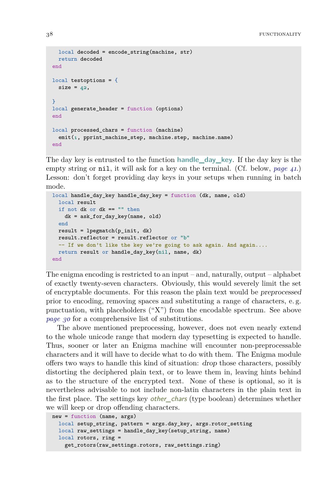```
local decoded = encode string(machine, str)
 return decoded
end
local testoptions = {
 size = 42,
}
local generate header = function (options)
end
local processed_chars = function (machine)
  emit(1, pprint_machine_step, machine.step, machine.name)
end
```
The day key is entrusted to the function **handle\_day\_key**. If the day key is the empty string or nil, it will ask for a key on the terminal. (Cf. below, *[page 41](#page-42-0)*.) Lesson: don't forget providing day keys in your setups when running in batch mode.

```
local handle_day_key handle_day_key = function (dk, name, old)
 local result
 if not dk or dk == "" then
   dk = ask_for_day_key(name, old)
 end
 result = leqgmatch(p init, dk)
 result.reflector = result.reflector or "b"
  - If we don't like the key we're going to ask again. And again....
 return result or handle_day_key(nil, name, dk)
end
```
The enigma encoding is restricted to an input – and, naturally, output – alphabet of exactly twenty-seven characters. Obviously, this would severely limit the set of encryptable documents. For this reason the plain text would be preprocessed prior to encoding, removing spaces and substituting a range of characters, e. g. punctuation, with placeholders ("X") from the encodable spectrum. See above *[page 30](#page-31-0)* for a comprehensive list of substitutions.

The above mentioned preprocessing, however, does not even nearly extend to the whole unicode range that modern day typesetting is expected to handle. Thus, sooner or later an Enigma machine will encounter non-preprocessable characters and it will have to decide what to do with them. The Enigma module offers two ways to handle this kind of situation: drop those characters, possibly distorting the deciphered plain text, or to leave them in, leaving hints behind as to the structure of the encrypted text. None of these is optional, so it is nevertheless advisable to not include non-latin characters in the plain text in the first place. The settings key *other chars* (type boolean) determines whether we will keep or drop offending characters.

```
new = function (name, args)
 local setup_string, pattern = args.day_key, args.rotor_setting
 local raw_settings = handle_day_key(setup_string, name)
 local rotors, ring =
    get_rotors(raw_settings.rotors, raw_settings.ring)
```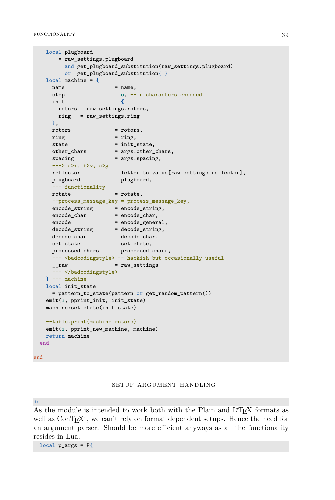```
local plugboard
       = raw_settings.plugboard
         and get_plugboard_substitution(raw_settings.plugboard)
         or get plugboard substitution{ }
   local machine = {
     name = name,step = 0, - n characters encoded
     init = {
      rotors = raw_settings.rotors,
       ring = raw_settings.ring
     },
     rotors = rotors,
     ring = ring,state = init state,
     other_chars = args.other_chars,<br>spacing = args.spacing,
                        = args.spacing,
      \rightarrow a>1, b>2, c>3
     reflector = letter_to_value[raw_settings.reflector],
     plugboard = plugboard,
      --- functionality
     rotate = rotate,
     --process_message_key = process_message_key,
      encode_string = encode_string,
      encode_char = encode_char,
     encode_char = encode_char,<br>encode = encode_general,<br>decode string = decode string,
     decode_string = decode_strin<br>decode_char = decode_char,
     \text{decode}\_\text{char}set_state = set_state,
      processed_chars = processed_chars,
     --- <br/>badcodingstyle> -- hackish but occasionally useful<br>__raw = raw_settings
                        __raw = raw_settings
       -- </badcodingstyle>
   } --- machine
   local init_state
     = pattern_to_state(pattern or get_random_pattern())
   emit(1, pprint_init, init_state)
   machine:set_state(init_state)
   --table.print(machine.rotors)
   emit(1, pprint_new_machine, machine)
   return machine
 end
end
```
#### setup argument handling

#### do

As the module is intended to work both with the Plain and L<sup>A</sup>T<sub>E</sub>X formats as well as  $\text{ConT} \in X$ t, we can't rely on format dependent setups. Hence the need for an argument parser. Should be more efficient anyways as all the functionality resides in Lua.

 $local p_{args} = P{$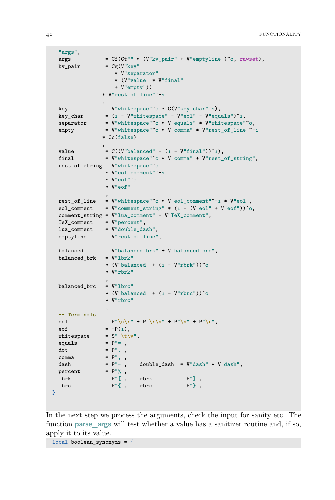```
"args",
args = Cf(Ct"" * (V"kv\_pair" + V"emptyline")\circ, rawset),kv\_pair = Cg(V''key''* V"separator"
                          * (V"value" * V"final"
                          + V"empty"))
                    * V"rest_of_line"^-1
                     ,
 key = V''whitespace"^o * C(V'' \text{key\_char}''^1),
key_char = (1 - V''whitespace'' - V''eol'' - V''equals'')^1,
separation = V''whitespace" o * V''equals" * V''whitespace" o,empty = V'' whitespace"\hat{o} * V'' comma" * V'' rest_of_line"\hat{-1}* Cc(false)
                     ,
value = C((V^{\prime\prime}balandvec{c}d^{\prime\prime} + (1 - V^{\prime\prime}final^{\prime\prime}))^2),final = V''whitespace"^o * V''comma" + V''rest_of_string",
rest_of_string = V"whitespace"^0
                     * V"eol_comment"^-1
                      * V"eol"^0
                      * V"eof"
                      ,
rest_of_line = V"whitespace" ^o * V"eol\_comment" ^-1 * V"eol",eol_comment = V''comment_string" * (1 - (V''\text{eol}'' + V''\text{eof}''))^oo,
comment_string = V"lua_comment" + V"TeX_comment",
TeX_comment = V'' percent",<br>lua_comment = V'' double_da;
                    = V"double dash",
emptyline = V''rest_of_line",balanced = V"balanced_brk" + V"balanced_brc",
balanced_brk = V"lbrk"
                      * (V''\text{balanced}'' + (1 - V''\text{rbrk})))^0
                      * V"rbrk"
                      ,
balanced_brc = V''lbrc"* (V''\text{balanced}'' + (1 - V''\text{rbrc}'))^0
                      * V"rbrc"
                      ,
-- Terminals
eol = P''\n\ln r'' + P''\nr'\n' + P''\nr' + P''\nr',
eof = -P(1),
whitespace = S'' \setminus t \setminus v'',<br>equals = P'' ='',equalsdot \qquad = P^{\prime\prime}.",
comma = P^{\prime\prime}, \prime\prime,
\begin{array}{lll} \texttt{dash} & = \mathrm{P}^{\text{\tiny\textsf{III}-\textsf{II}}}, & \texttt{double\_dash} \end{array} \begin{array}{lll} = \mathrm{V}^{\text{\tiny\textsf{II}}} \texttt{dash}^{\text{\tiny\textsf{III}}} \ast \mathrm{V}^{\text{\tiny\textsf{II}}} \texttt{dash}^{\text{\tiny\textsf{II}}}, \\ = \mathrm{P}^{\text{\tiny\textsf{III}}} \mathrm{W}^{\text{\tiny\textsf{III}}}_\circ, & \end{array}percent
\mathbf{lbrk} = \mathbf{P}^{\shortparallel} [\mathsf{''}, \quad \mathbf{rbrk} = \mathbf{P}^{\shortparallel} ]^{\shortparallel},lbrc = P''{''}, rbrc = P''}, rbrc = P''
```
}

In the next step we process the arguments, check the input for sanity etc. The function **parse\_args** will test whether a value has a sanitizer routine and, if so, apply it to its value.

local boolean synonyms = {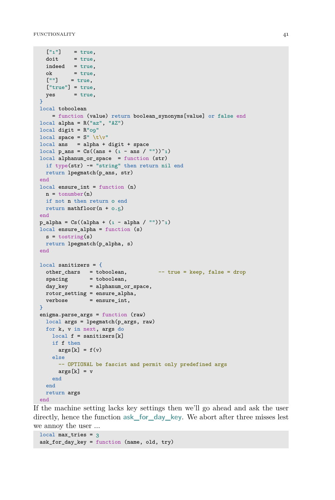```
["1"] = true.
  dot = true,
  indeed = true,ok = true,['"'] = true,
 ['true"] = true,yes = true,
}
local toboolean
   = function (value) return boolean_synonyms[value] or false end
local alpha = R("az", "AZ")local digit = R''og"
local space = S'' \setminus t \setminus v''local ans = alpha + digit + spacelocal p_ans = Cs((ans + (1 - ans / ""))^1)
local alphanum_or_space = function (str)
 if type(str) ~= "string" then return nil end
 return lpegmatch(p_ans, str)
end
local ensure int = function (n)n = tonumber(n)
 if not n then return o end
 return mathfloor(n + o.5)end
p_{alpha} = Cs((alpha + (1 - alpha / ""))^1)local ensure_alpha = function (s)
 s = tostring(s)
 return lpegmatch(p_alpha, s)
end
local sanitizers = {<br>other chars = toboolean,
                                    - true = keep, false = drop
 spacing = toboolean,day_key = alphanum_or_space,
 rotor_setting = ensure_alpha,
  verbose = ensure_int,
}
enigma.parse_args = function (raw)
 local args = lpegmatch(p_args, raw)
 for k, v in next, args do
   local f = sanitizers[k]
   if f then
     args[k] = f(v)else
     -- OPTIONAL be fascist and permit only predefined args
     args[k] = vend
  end
  return args
end
```
If the machine setting lacks key settings then we'll go ahead and ask the user directly, hence the function **ask\_for\_day\_key**. We abort after three misses lest we annoy the user …

```
local max tries = 3ask_for_day_key = function (name, old, try)
```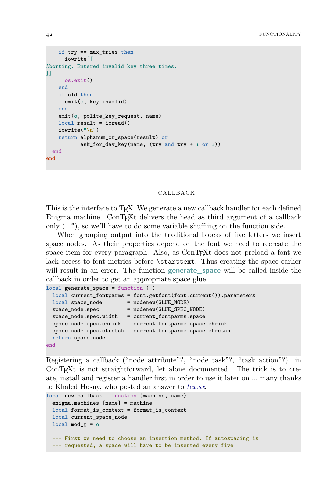```
if trv = max tries then
     iowrite[[
Aborting. Entered invalid key three times.
]]
     os.exit()
   end
   if old then
     emit(o, key invalid)
   end
   emit(0, polite_key_request, name)
   local result = ioread()
   iowrite("\n")
   return alphanum_or_space(result) or
          ask for day key(name, (try and try + 1 or 1))
 end
end
```
#### callback

This is the interface to T<sub>F</sub>X. We generate a new callback handler for each defined Enigma machine. ConTEXt delivers the head as third argument of a callback only  $(...?)$ , so we'll have to do some variable shuffling on the function side.

When grouping output into the traditional blocks of five letters we insert space nodes. As their properties depend on the font we need to recreate the space item for every paragraph. Also, as ConT<sub>E</sub>Xt does not preload a font we lack access to font metrics before \starttext. Thus creating the space earlier will result in an error. The function **generate** space will be called inside the callback in order to get an appropriate space glue.

```
local generate_space = function ( )
 local current_fontparms = font.getfont(font.current()).parameters
 local space_node = nodenew(GLUE_NODE)
 space_node.spec = nodenew(GLUE_SPEC_NODE)
 space_node.spec.width = current_fontparms.space
 space node.spec.shrink = current fontparms.space shrink
 space_node.spec.stretch = current_fontparms.space_stretch
 return space_node
end
```
Registering a callback ("node attribute"?, "node task"?, "task action"?) in ConTEXt is not straightforward, let alone documented. The trick is to create, install and register a handler first in order to use it later on … many thanks to Khaled Hosny, who posted an answer to *[tex.sx](http://tex.stackexchange.com/a/11970)*.

```
local new_callback = function (machine, name)
 enigma.machines [name] = machine
 local format_is_context = format_is_context
 local current_space_node
 local mod_5 = o--- First we need to choose an insertion method. If autospacing is
 --- requested, a space will have to be inserted every five
```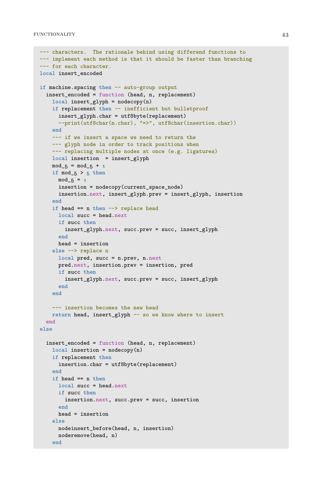```
--- characters. The rationale behind using differend functions to
--- implement each method is that it should be faster than branching
--- for each character.
local insert encoded
if machine.spacing then -- auto-group output
 insert_encoded = function (head, n, replacement)
    local insert_glyph = nodecopy(n)if replacement then -- inefficient but bulletproof
      insert_glyph.char = utf8byte(replacement)
      --print(utf8char(n.char), "=>", utf8char(insertion.char))
    end
    --- if we insert a space we need to return the
    --- glyph node in order to track positions when
    --- replacing multiple nodes at once (e.g. ligatures)
   local insertion = insert_glyph
    mod_{-5} = mod_{-5} + 1if mod_5 > 5 then
     mod 5 = 1insertion = nodecopy(current space node)insertion.next, insert_glyph.prev = insert_glyph, insertion
    end
    if head == n then \rightarrow replace head
     local succ = head.next
     if succ then
        insert_glyph.next, succ.prev = succ, insert_glyph
      end
     head = insertion
    else --> replace n
     local pred, succ = n.prev, n.next
      pred.next, insertion.prev = insertion, pred
      if succ then
        insert_glyph.next, succ.prev = succ, insert_glyph
      end
    end
    --- insertion becomes the new head
    return head, insert_glyph -- so we know where to insert
  end
else
  insert_encoded = function (head, n, replacement)
    local insertion = nodecopy(n)if replacement then
      insertion.char = utf8byte(replacement)
    end
    if head == n then
     local succ = head.next
     if succ then
       insertion.next, succ.prev = succ, insertion
      end
     head = insertion
    else
     nodeinsert_before(head, n, insertion)
     noderemove(head, n)
    end
```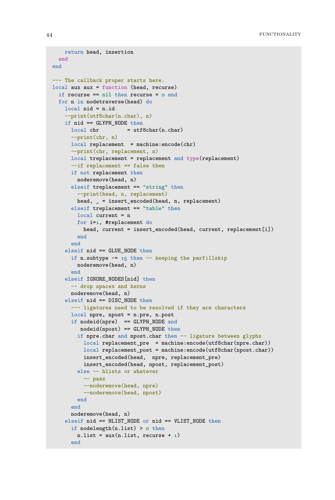```
return head, insertion
 end
end
--- The callback proper starts here.
local aux aux = function (head, recurse)
 if recurse == nil then recurse = 0 end
 for n in nodetraverse(head) do
   local nid = n.id
   --print(utf8char(n.char), n)
   if nid == GLYPH_NODE then
     local chr = utf8char(n(char)--print(chr, n)
     local replacement = machine:encode(chr)--print(chr, replacement, n)
     local treplacement = replacement and type(replacement)
      --if replacement == false then
      if not replacement then
        noderemove(head, n)
      elseif treplacement == "string" then
        --print(head, n, replacement)
       head, _ = insert_encoded(head, n, replacement)
      elseif treplacement == "table" then
       local current = n
       for i=1, #replacement do
         head, current = insert encoded(head, current, replacement[i])
        end
      end
    elseif nid == GLUE_NODE then
      if n.subtype - - 15 then - keeping the parfillskip
       noderemove(head, n)
      end
    elseif IGNORE_NODES[nid] then
      -- drop spaces and kerns
      noderemove(head, n)
    elseif nid == DISC_NODE then
      --- ligatures need to be resolved if they are characters
      local npre, npost = n.pre, n.post
      if nodeid(npre) == GLYPH_NODE and
        nodeid(npost) == GLYPH_NODE then
        if npre.char and npost.char then -- ligature between glyphs
          local replacement_pre = machine:encode(utf8char(npre.char))
          local replacement_post = machine:encode(utf8char(npost.char))
         insert_encoded(head, npre, replacement_pre)
         insert_encoded(head, npost, replacement_post)
        else -- hlists or whatever
         -- pass
         --noderemove(head, npre)
         --noderemove(head, npost)
        end
      end
      noderemove(head, n)
    elseif nid == HLIST_NODE or nid == VLIST_NODE then
      if nodelength(n.list) > 0 then
       n.list = aux(n.list, recurse + 1)
      end
```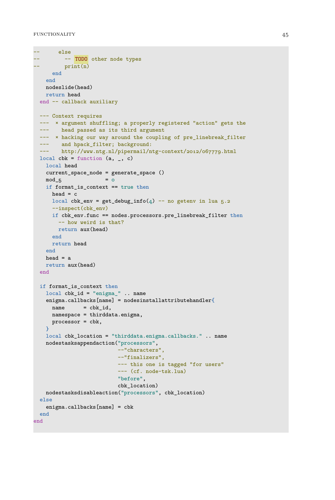```
-- else
       -- TODO other node types
        print(n)end
   end
  nodeslide(head)
  return head
 end -- callback auxiliary
 --- Context requires
 --- × argument shuffling; a properly registered "action" gets the
 --- head passed as its third argument
  --- x hacking our way around the coupling of pre_linebreak_filter
 --- and hpack filter; background:
 --- http://www.ntg.nl/pipermail/ntg-context/2012/067779.html
 local cbk = function (a, -, c)local head
   current_space_node = generate_space ()
   mod_5 = 0
   if format is context == true then
     head = clocal cbk_env = get_debug_info(4) -- no getenv in lua 5.2--inspect(cbk_env)
     if cbk_env.func == nodes.processors.pre_linebreak_filter then
       -- how weird is that?
      return aux(head)
     end
     return head
   end
   head = areturn aux(head)
 end
 if format_is_context then
   local cbk_id = "enigma_" .. name
   enigma.callbacks[name] = nodesinstallattributehandler{
    name = <math>cbk_id</math>,namespace = thirddata.enigma,
    processor = cbk,
   }
   local cbk_location = "thirddata.enigma.callbacks." .. name
   nodestasksappendaction("processors",
                          --"characters",
                          --"finalizers",
                          --- this one is tagged "for users"
                          --- (cf. node-tsk.lua)
                          "before",
                          cbk_location)
   nodestasksdisableaction("processors", cbk_location)
 else
   enigma.callbacks[name] = cbk
 end
end
```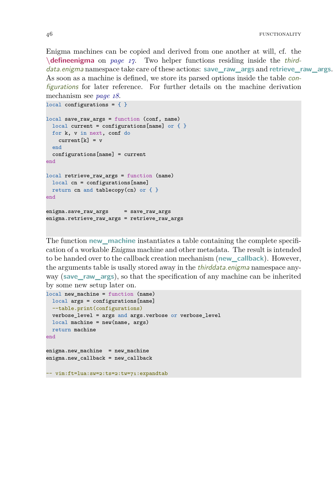<span id="page-47-1"></span><span id="page-47-0"></span>Enigma machines can be copied and derived from one another at will, cf. the **\defineenigma** on *[page 17](#page-18-1)*. Two helper functions residing inside the thirddata.enigma namespace take care of these actions: **save\_raw\_args** and **retrieve\_raw\_args**. As soon as a machine is defined, we store its parsed options inside the table configurations for later reference. For further details on the machine derivation mechanism see *[page 18](#page-19-0)*.

```
local configurations = \{ \}local save raw args = function (conf, name)local current = configurations[name] or \{ \}for k, v in next, conf do
   current[k] = vend
 configurations[name] = current
end
local retrieve_raw_args = function (name)
 local cn = configurations[name]
 return cn and tablecopy(cn) or \{ \}end
enigma.save_raw_args = save_raw_args
enigma.retrieve_raw_args = retrieve_raw_args
```
The function **new\_machine** instantiates a table containing the complete specification of a workable Enigma machine and other metadata. The result is intended to be handed over to the callback creation mechanism (**new\_callback**). However, the arguments table is usally stored away in the *thirddata.enigma* namespace anyway (**save\_raw\_args**), so that the specification of any machine can be inherited by some new setup later on.

```
local new_machine = function (name)
 local args = configurations[name]
 --table.print(configurations)
 verbose level = args and args.verbose or verbose level
 local machine = new(name, args)
 return machine
end
enigma.new_machine = new_machine
enigma.new_callback = new_callback
-- vim:ft=lua:sw=2:ts=2:tw=71:expandtab
```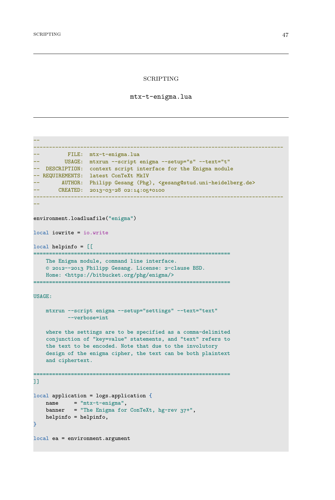#### SCRIPTING

mtx-t-enigma.lua

```
--
--------------------------------------------------------------------------------
-- FILE: mtx-t-enigma.lua
-- USAGE: mtxrun --script enigma --setup="s" --text="t"
-- DESCRIPTION: context script interface for the Enigma module
-- REQUIREMENTS: latest ConTeXt MkIV
-- AUTHOR: Philipp Gesang (Phg), <gesang@stud.uni-heidelberg.de>
-- CREATED: 2013-03-28 02:14:05+0100
--------------------------------------------------------------------------------
--
environment.loadluafile("enigma")
local iowrite = io.write
local helpinfo = [[
                    ===============================================================
   The Enigma module, command line interface.
   © 2012--2013 Philipp Gesang. License: 2-clause BSD.
   Home: <https://bitbucket.org/phg/enigma/>
===============================================================
USAGE:
   mtxrun --script enigma --setup="settings" --text="text"
         --verbose=int
   where the settings are to be specified as a comma-delimited
   conjunction of "key=value" statements, and "text" refers to
   the text to be encoded. Note that due to the involutory
   design of the enigma cipher, the text can be both plaintext
   and ciphertext.
  ===============================================================
]]
local application = logs.application {
   name = "mtx-t-enigma",banner = "The Enigma for ConTeXt, hg-rev 37+",
   helpinfo = helpinfo,
}
local ea = environment.argument
```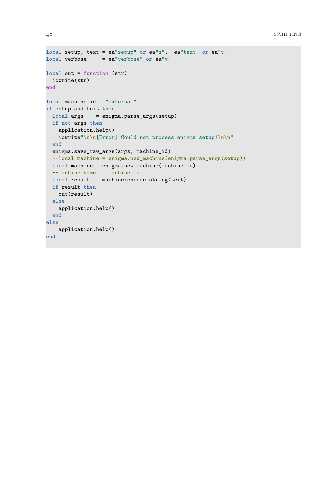```
local setup, text = ea"setup" or ea"s", ea"text" or ea"t"
local verbose = ea"verbose" or ea"v"
local out = function (str)
 iowrite(str)
end
local machine_id = "external"
if setup and text then
 local args = enigma.parse_args(setup)
 if not args then
   application.help()
   iowrite"\n\n[Error] Could not process enigma setup!\n\n"
 end
 enigma.save_raw_args(args, machine_id)
 --local machine = enigma.new_machine(enigma.parse_args(setup))
 local machine = enigma.new_machine(machine_id)
  --machine.name = machine_idlocal result = machine:encode string(text)if result then
   out(result)
 else
   application.help()
 end
else
   application.help()
end
```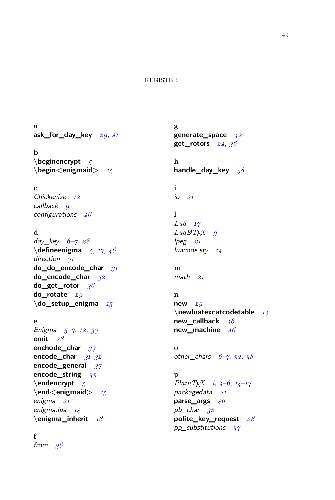#### REGISTER

<span id="page-50-0"></span>**a ask\_for\_day\_key** *[29](#page-30-0)*, *[41](#page-42-1)*

**b \beginencrypt** *[5](#page-6-1)* **\begin<enigmaid>** *[15](#page-16-0)*

### **c**

Chickenize *[12](#page-13-0)* callback *[9](#page-10-0)* configurations *[46](#page-47-1)*

#### **d**

day\_key *[6](#page-7-1)*–*[7](#page-8-1)*, *[28](#page-29-0)* **\defineenigma** *[5](#page-6-1)*, *[17](#page-18-2)*, *[46](#page-47-1)* direction *[31](#page-32-0)* **do\_do\_encode\_char** *[31](#page-32-0)* **do\_encode\_char** *[32](#page-33-0)* **do\_get\_rotor** *[36](#page-37-0)* **do\_rotate** *[29](#page-30-0)* **\do\_setup\_enigma** *[15](#page-16-0)*

#### **e**

Enigma *[5](#page-6-1)*–*[7](#page-8-1)*, *[12](#page-13-0)*, *[33](#page-34-0)* **emit** *[28](#page-29-0)* **enchode\_char** *[37](#page-38-0)* **encode\_char** *[31](#page-32-0)*–*[32](#page-33-0)* **encode\_general** *[37](#page-38-0)* **encode\_string** *[33](#page-34-0)* **\endencrypt** *[5](#page-6-1)* **\end<enigmaid>** *[15](#page-16-0)* enigma *[21](#page-22-1)* enigma.lua *[14](#page-15-1)* **\enigma\_inherit** *[18](#page-19-1)*

#### **f**

from *[36](#page-37-0)*

**g generate\_space** *[42](#page-43-0)* **get\_rotors** *[24](#page-25-0)*, *[36](#page-37-0)*

**h handle\_day\_key** *[38](#page-39-0)*

**i** io *[21](#page-22-1)*

#### **l**

*Lua [17](#page-18-2) LuaLATEX [9](#page-10-0)* lpeg *[21](#page-22-1)* luacode.sty *[14](#page-15-1)*

**m** math *[21](#page-22-1)*

#### **n**

**o**

**new** *[29](#page-30-0)* **\newluatexcatcodetable** *[14](#page-15-1)* **new\_callback** *[46](#page-47-1)* **new\_machine** *[46](#page-47-1)*

other\_chars *[6](#page-7-1)*–*[7](#page-8-1)*, *[32](#page-33-0)*, *[38](#page-39-0)*

**p** *PlainTEX [i](#page-2-0)*, *[4](#page-5-1)*–*[6](#page-7-1)*, *[14](#page-15-1)*–*[17](#page-18-2)* packagedata *[21](#page-22-1)* **parse\_args** *[40](#page-41-0)* pb\_char *[32](#page-33-0)* **polite\_key\_request** *[28](#page-29-0)* pp\_substitutions *[37](#page-38-0)*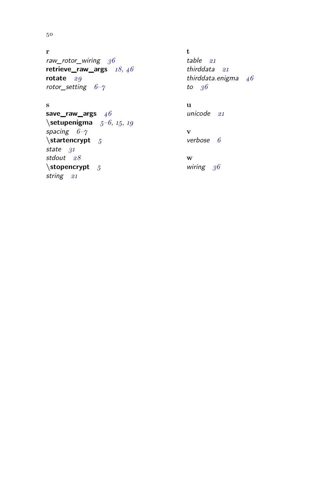#### 50

**r** raw\_rotor\_wiring *[36](#page-37-0)* **retrieve\_raw\_args** *[18](#page-19-1)*, *[46](#page-47-1)* **rotate** *[29](#page-30-0)* rotor\_setting *[6](#page-7-1)*–*[7](#page-8-1)*

#### **s**

**save\_raw\_args** *[46](#page-47-1)* **\setupenigma** *[5](#page-6-1)*–*[6](#page-7-1)*, *[15](#page-16-0)*, *[19](#page-20-0)* spacing *[6](#page-7-1)*–*[7](#page-8-1)* **\startencrypt** *[5](#page-6-1)* state *[31](#page-32-0)* stdout *[28](#page-29-0)* **\stopencrypt** *[5](#page-6-1)* string *[21](#page-22-1)*

**t** table *[21](#page-22-1)* thirddata *[21](#page-22-1)* thirddata.enigma *[46](#page-47-1)* to *[36](#page-37-0)*

**u** unicode *[21](#page-22-1)*

**v** verbose *[6](#page-7-1)*

**w** wiring *[36](#page-37-0)*